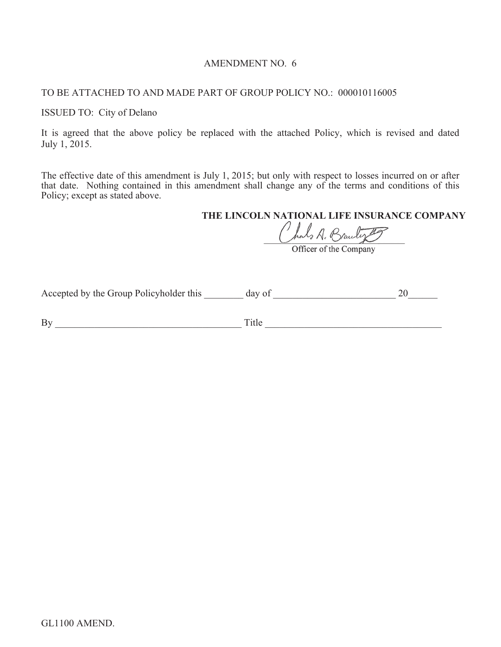# AMENDMENT NO. 6

# TO BE ATTACHED TO AND MADE PART OF GROUP POLICY NO.: 000010116005

#### ISSUED TO: City of Delano

It is agreed that the above policy be replaced with the attached Policy, which is revised and dated July 1, 2015.

The effective date of this amendment is July 1, 2015; but only with respect to losses incurred on or after that date. Nothing contained in this amendment shall change any of the terms and conditions of this Policy; except as stated above.

# **THE LINCOLN NATIONAL LIFE INSURANCE COMPANY**<br>
Chal<sub>2</sub> A. Brauly **T**

Accepted by the Group Policyholder this \_\_\_\_\_\_\_\_ day of \_\_\_\_\_\_\_\_\_\_\_\_\_\_\_\_\_\_\_\_\_\_\_\_\_ 20\_\_\_\_\_\_

By \_\_\_\_\_\_\_\_\_\_\_\_\_\_\_\_\_\_\_\_\_\_\_\_\_\_\_\_\_\_\_\_\_\_\_\_\_\_ Title \_\_\_\_\_\_\_\_\_\_\_\_\_\_\_\_\_\_\_\_\_\_\_\_\_\_\_\_\_\_\_\_\_\_\_\_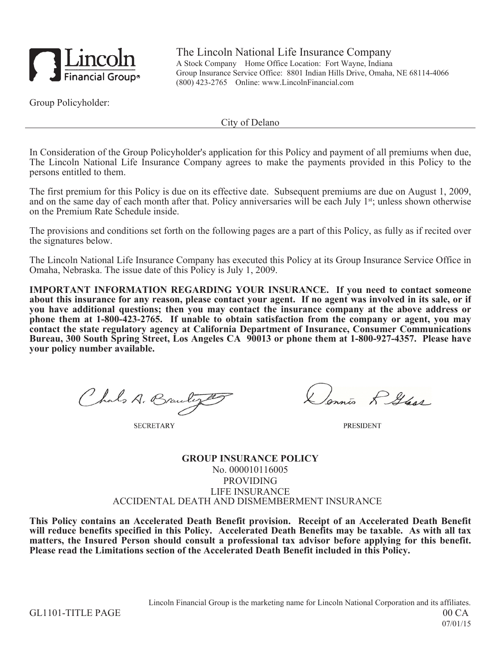

The Lincoln National Life Insurance Company A Stock Company Home Office Location: Fort Wayne, Indiana Group Insurance Service Office: 8801 Indian Hills Drive, Omaha, NE 68114-4066 (800) 423-2765 Online: www.LincolnFinancial.com

Group Policyholder:

City of Delano

In Consideration of the Group Policyholder's application for this Policy and payment of all premiums when due, The Lincoln National Life Insurance Company agrees to make the payments provided in this Policy to the persons entitled to them.

The first premium for this Policy is due on its effective date. Subsequent premiums are due on August 1, 2009, and on the same day of each month after that. Policy anniversaries will be each July 1<sup>st</sup>; unless shown otherwise on the Premium Rate Schedule inside.

The provisions and conditions set forth on the following pages are a part of this Policy, as fully as if recited over the signatures below.

The Lincoln National Life Insurance Company has executed this Policy at its Group Insurance Service Office in Omaha, Nebraska. The issue date of this Policy is July 1, 2009.

**IMPORTANT INFORMATION REGARDING YOUR INSURANCE. If you need to contact someone about this insurance for any reason, please contact your agent. If no agent was involved in its sale, or if you have additional questions; then you may contact the insurance company at the above address or phone them at 1-800-423-2765. If unable to obtain satisfaction from the company or agent, you may contact the state regulatory agency at California Department of Insurance, Consumer Communications Bureau, 300 South Spring Street, Los Angeles CA 90013 or phone them at 1-800-927-4357. Please have your policy number available.**

Chals A. Branche

**SECRETARY** 

Jennis L. Glass

**PRESIDENT** 

**GROUP INSURANCE POLICY** No. 000010116005 PROVIDING LIFE INSURANCE ACCIDENTAL DEATH AND DISMEMBERMENT INSURANCE

**This Policy contains an Accelerated Death Benefit provision. Receipt of an Accelerated Death Benefit will reduce benefits specified in this Policy. Accelerated Death Benefits may be taxable. As with all tax matters, the Insured Person should consult a professional tax advisor before applying for this benefit. Please read the Limitations section of the Accelerated Death Benefit included in this Policy.**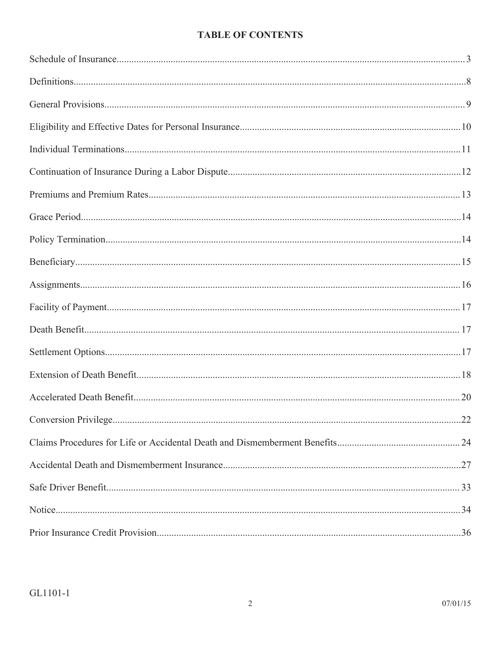# **TABLE OF CONTENTS**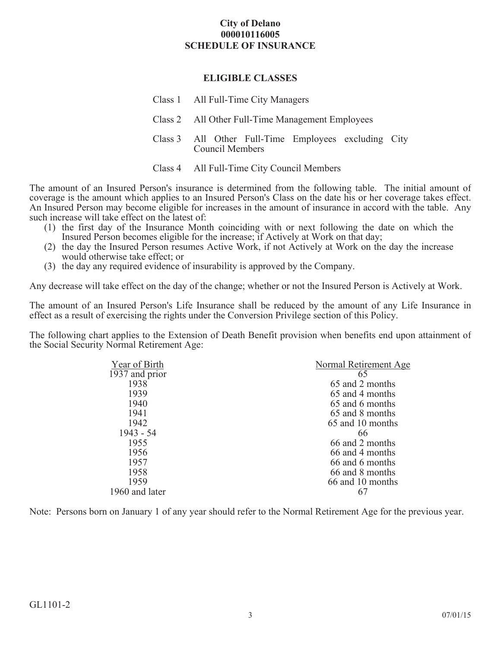# **City of Delano 000010116005 SCHEDULE OF INSURANCE**

# **ELIGIBLE CLASSES**

| Class 1 All Full-Time City Managers                                            |
|--------------------------------------------------------------------------------|
| Class 2 All Other Full-Time Management Employees                               |
| Class 3 All Other Full-Time Employees excluding City<br><b>Council Members</b> |

Class 4 All Full-Time City Council Members

The amount of an Insured Person's insurance is determined from the following table. The initial amount of coverage is the amount which applies to an Insured Person's Class on the date his or her coverage takes effect. An Insured Person may become eligible for increases in the amount of insurance in accord with the table. Any such increase will take effect on the latest of:

- (1) the first day of the Insurance Month coinciding with or next following the date on which the Insured Person becomes eligible for the increase; if Actively at Work on that day;
- (2) the day the Insured Person resumes Active Work, if not Actively at Work on the day the increase would otherwise take effect; or
- (3) the day any required evidence of insurability is approved by the Company.

Any decrease will take effect on the day of the change; whether or not the Insured Person is Actively at Work.

The amount of an Insured Person's Life Insurance shall be reduced by the amount of any Life Insurance in effect as a result of exercising the rights under the Conversion Privilege section of this Policy.

The following chart applies to the Extension of Death Benefit provision when benefits end upon attainment of the Social Security Normal Retirement Age:

| Year of Birth  | Normal Retirement Age |  |
|----------------|-----------------------|--|
| 1937 and prior | 65                    |  |
| 1938           | 65 and 2 months       |  |
| 1939           | 65 and 4 months       |  |
| 1940           | 65 and 6 months       |  |
| 1941           | 65 and 8 months       |  |
| 1942           | 65 and 10 months      |  |
| 1943 - 54      | 66                    |  |
| 1955           | 66 and 2 months       |  |
| 1956           | 66 and 4 months       |  |
| 1957           | 66 and 6 months       |  |
| 1958           | 66 and 8 months       |  |
| 1959           | 66 and 10 months      |  |
| 1960 and later |                       |  |
|                |                       |  |

Note: Persons born on January 1 of any year should refer to the Normal Retirement Age for the previous year.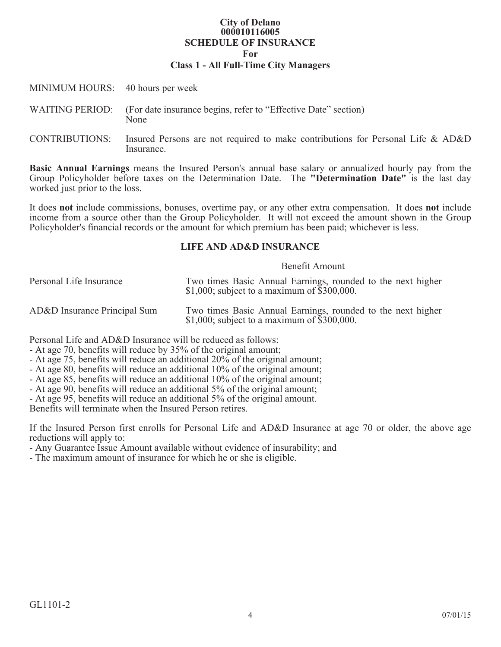# **City of Delano 000010116005 SCHEDULE OF INSURANCE For**

# **Class 1 - All Full-Time City Managers**

| MINIMUM HOURS: 40 hours per week |                                                                                                              |
|----------------------------------|--------------------------------------------------------------------------------------------------------------|
|                                  | WAITING PERIOD: (For date insurance begins, refer to "Effective Date" section)<br>None                       |
|                                  | CONTRIBUTIONS: Insured Persons are not required to make contributions for Personal Life & AD&D<br>Insurance. |

**Basic Annual Earnings** means the Insured Person's annual base salary or annualized hourly pay from the Group Policyholder before taxes on the Determination Date. The **"Determination Date"** is the last day worked just prior to the loss.

It does **not** include commissions, bonuses, overtime pay, or any other extra compensation. It does **not** include income from a source other than the Group Policyholder. It will not exceed the amount shown in the Group Policyholder's financial records or the amount for which premium has been paid; whichever is less.

#### **LIFE AND AD&D INSURANCE**

#### Benefit Amount

| Personal Life Insurance      | Two times Basic Annual Earnings, rounded to the next higher<br>\$1,000; subject to a maximum of $$300,000$ . |
|------------------------------|--------------------------------------------------------------------------------------------------------------|
| AD&D Insurance Principal Sum | Two times Basic Annual Earnings, rounded to the next higher<br>\$1,000; subject to a maximum of $$300,000$ . |

Personal Life and AD&D Insurance will be reduced as follows:

- At age 70, benefits will reduce by 35% of the original amount;
- At age 75, benefits will reduce an additional 20% of the original amount;
- At age 80, benefits will reduce an additional 10% of the original amount;
- At age 85, benefits will reduce an additional 10% of the original amount;
- At age 90, benefits will reduce an additional 5% of the original amount;
- At age 95, benefits will reduce an additional 5% of the original amount.

Benefits will terminate when the Insured Person retires.

If the Insured Person first enrolls for Personal Life and AD&D Insurance at age 70 or older, the above age reductions will apply to:

- Any Guarantee Issue Amount available without evidence of insurability; and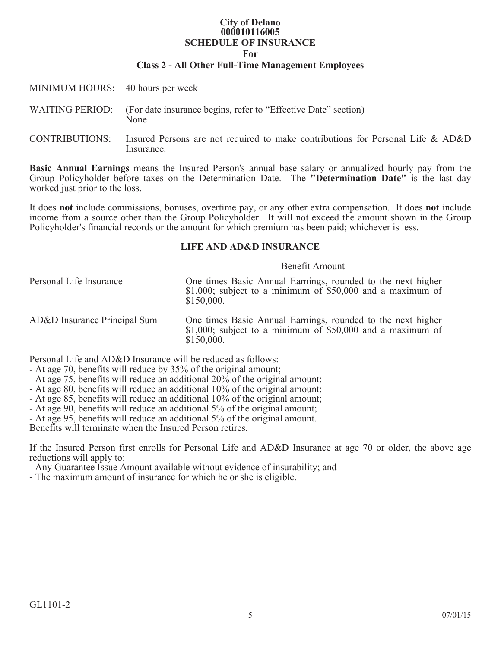## **City of Delano 000010116005 SCHEDULE OF INSURANCE**

**For**

#### **Class 2 - All Other Full-Time Management Employees**

| MINIMUM HOURS: 40 hours per week |                                                                                                              |
|----------------------------------|--------------------------------------------------------------------------------------------------------------|
|                                  | WAITING PERIOD: (For date insurance begins, refer to "Effective Date" section)<br>None                       |
|                                  | CONTRIBUTIONS: Insured Persons are not required to make contributions for Personal Life & AD&D<br>Insurance. |

**Basic Annual Earnings** means the Insured Person's annual base salary or annualized hourly pay from the Group Policyholder before taxes on the Determination Date. The **"Determination Date"** is the last day worked just prior to the loss.

It does **not** include commissions, bonuses, overtime pay, or any other extra compensation. It does **not** include income from a source other than the Group Policyholder. It will not exceed the amount shown in the Group Policyholder's financial records or the amount for which premium has been paid; whichever is less.

## **LIFE AND AD&D INSURANCE**

#### Benefit Amount

| Personal Life Insurance      | One times Basic Annual Earnings, rounded to the next higher<br>$$1,000$ ; subject to a minimum of $$50,000$ and a maximum of<br>\$150,000. |
|------------------------------|--------------------------------------------------------------------------------------------------------------------------------------------|
| AD&D Insurance Principal Sum | One times Basic Annual Earnings, rounded to the next higher<br>$$1,000$ ; subject to a minimum of $$50,000$ and a maximum of<br>\$150,000. |

Personal Life and AD&D Insurance will be reduced as follows:

- At age 70, benefits will reduce by 35% of the original amount;
- At age 75, benefits will reduce an additional 20% of the original amount;
- At age 80, benefits will reduce an additional 10% of the original amount;
- At age 85, benefits will reduce an additional 10% of the original amount;
- At age 90, benefits will reduce an additional 5% of the original amount;
- At age 95, benefits will reduce an additional 5% of the original amount.

Benefits will terminate when the Insured Person retires.

If the Insured Person first enrolls for Personal Life and AD&D Insurance at age 70 or older, the above age reductions will apply to:

- Any Guarantee Issue Amount available without evidence of insurability; and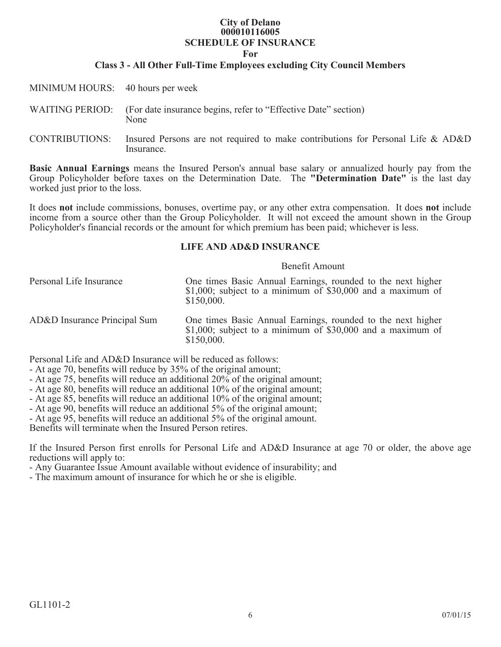## **City of Delano 000010116005 SCHEDULE OF INSURANCE**

**For**

# **Class 3 - All Other Full-Time Employees excluding City Council Members**

| MINIMUM HOURS: 40 hours per week |                                                                                                              |
|----------------------------------|--------------------------------------------------------------------------------------------------------------|
|                                  | WAITING PERIOD: (For date insurance begins, refer to "Effective Date" section)<br>None                       |
|                                  | CONTRIBUTIONS: Insured Persons are not required to make contributions for Personal Life & AD&D<br>Insurance. |

**Basic Annual Earnings** means the Insured Person's annual base salary or annualized hourly pay from the Group Policyholder before taxes on the Determination Date. The **"Determination Date"** is the last day worked just prior to the loss.

It does **not** include commissions, bonuses, overtime pay, or any other extra compensation. It does **not** include income from a source other than the Group Policyholder. It will not exceed the amount shown in the Group Policyholder's financial records or the amount for which premium has been paid; whichever is less.

# **LIFE AND AD&D INSURANCE**

#### Benefit Amount

| Personal Life Insurance      | One times Basic Annual Earnings, rounded to the next higher<br>$$1,000$ ; subject to a minimum of $$30,000$ and a maximum of<br>\$150,000. |
|------------------------------|--------------------------------------------------------------------------------------------------------------------------------------------|
| AD&D Insurance Principal Sum | One times Basic Annual Earnings, rounded to the next higher<br>$$1,000$ ; subject to a minimum of $$30,000$ and a maximum of<br>\$150,000. |

Personal Life and AD&D Insurance will be reduced as follows:

- At age 70, benefits will reduce by 35% of the original amount;
- At age 75, benefits will reduce an additional 20% of the original amount;
- At age 80, benefits will reduce an additional 10% of the original amount;
- At age 85, benefits will reduce an additional 10% of the original amount;
- At age 90, benefits will reduce an additional 5% of the original amount;
- At age 95, benefits will reduce an additional 5% of the original amount.

Benefits will terminate when the Insured Person retires.

If the Insured Person first enrolls for Personal Life and AD&D Insurance at age 70 or older, the above age reductions will apply to:

- Any Guarantee Issue Amount available without evidence of insurability; and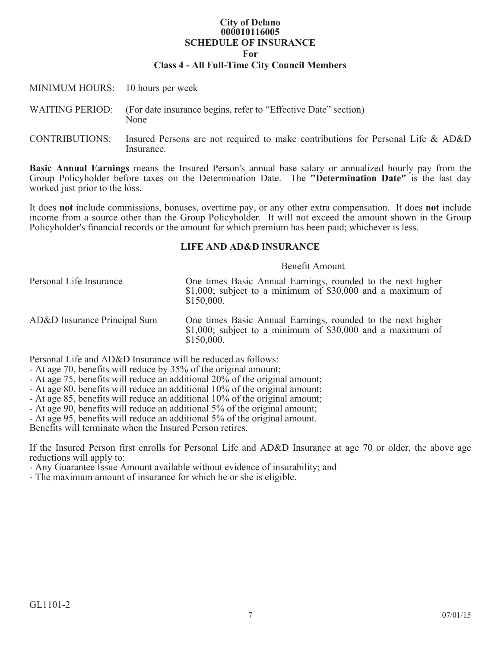## **City of Delano 000010116005 SCHEDULE OF INSURANCE For Class 4 - All Full-Time City Council Members**

| MINIMUM HOURS: 10 hours per week |                                                                                                              |
|----------------------------------|--------------------------------------------------------------------------------------------------------------|
|                                  | WAITING PERIOD: (For date insurance begins, refer to "Effective Date" section)<br>None                       |
|                                  | CONTRIBUTIONS: Insured Persons are not required to make contributions for Personal Life & AD&D<br>Insurance. |

**Basic Annual Earnings** means the Insured Person's annual base salary or annualized hourly pay from the Group Policyholder before taxes on the Determination Date. The **"Determination Date"** is the last day worked just prior to the loss.

It does **not** include commissions, bonuses, overtime pay, or any other extra compensation. It does **not** include income from a source other than the Group Policyholder. It will not exceed the amount shown in the Group Policyholder's financial records or the amount for which premium has been paid; whichever is less.

# **LIFE AND AD&D INSURANCE**

#### Benefit Amount

| Personal Life Insurance      | One times Basic Annual Earnings, rounded to the next higher<br>$$1,000$ ; subject to a minimum of $$30,000$ and a maximum of<br>\$150,000. |
|------------------------------|--------------------------------------------------------------------------------------------------------------------------------------------|
| AD&D Insurance Principal Sum | One times Basic Annual Earnings, rounded to the next higher<br>$$1,000$ ; subject to a minimum of $$30,000$ and a maximum of<br>\$150,000. |

Personal Life and AD&D Insurance will be reduced as follows:

- At age 70, benefits will reduce by 35% of the original amount;
- At age 75, benefits will reduce an additional 20% of the original amount;
- At age 80, benefits will reduce an additional 10% of the original amount;
- At age 85, benefits will reduce an additional 10% of the original amount;
- At age 90, benefits will reduce an additional 5% of the original amount;
- At age 95, benefits will reduce an additional 5% of the original amount.

Benefits will terminate when the Insured Person retires.

If the Insured Person first enrolls for Personal Life and AD&D Insurance at age 70 or older, the above age reductions will apply to:

- Any Guarantee Issue Amount available without evidence of insurability; and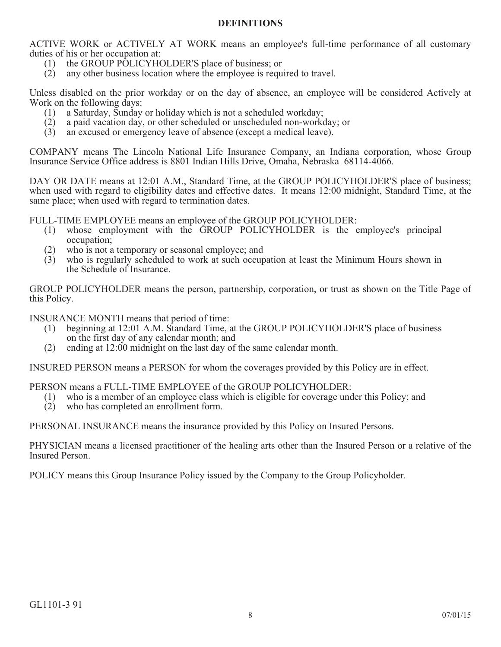# **DEFINITIONS**

ACTIVE WORK or ACTIVELY AT WORK means an employee's full-time performance of all customary duties of his or her occupation at:

- (1) the GROUP POLICYHOLDER'S place of business; or
- (2) any other business location where the employee is required to travel.

Unless disabled on the prior workday or on the day of absence, an employee will be considered Actively at Work on the following days:

- (1) a Saturday, Sunday or holiday which is not a scheduled workday;
- (2) a paid vacation day, or other scheduled or unscheduled non-workday; or
- (3) an excused or emergency leave of absence (except a medical leave).

COMPANY means The Lincoln National Life Insurance Company, an Indiana corporation, whose Group Insurance Service Office address is 8801 Indian Hills Drive, Omaha, Nebraska 68114-4066.

DAY OR DATE means at 12:01 A.M., Standard Time, at the GROUP POLICYHOLDER'S place of business; when used with regard to eligibility dates and effective dates. It means 12:00 midnight, Standard Time, at the same place; when used with regard to termination dates.

FULL-TIME EMPLOYEE means an employee of the GROUP POLICYHOLDER:

- (1) whose employment with the GROUP POLICYHOLDER is the employee's principal occupation;
- (2) who is not a temporary or seasonal employee; and
- (3) who is regularly scheduled to work at such occupation at least the Minimum Hours shown in the Schedule of Insurance.

GROUP POLICYHOLDER means the person, partnership, corporation, or trust as shown on the Title Page of this Policy.

INSURANCE MONTH means that period of time:

- (1) beginning at 12:01 A.M. Standard Time, at the GROUP POLICYHOLDER'S place of business on the first day of any calendar month; and
- (2) ending at 12:00 midnight on the last day of the same calendar month.

INSURED PERSON means a PERSON for whom the coverages provided by this Policy are in effect.

PERSON means a FULL-TIME EMPLOYEE of the GROUP POLICYHOLDER:

- (1) who is a member of an employee class which is eligible for coverage under this Policy; and
- (2) who has completed an enrollment form.

PERSONAL INSURANCE means the insurance provided by this Policy on Insured Persons.

PHYSICIAN means a licensed practitioner of the healing arts other than the Insured Person or a relative of the Insured Person.

POLICY means this Group Insurance Policy issued by the Company to the Group Policyholder.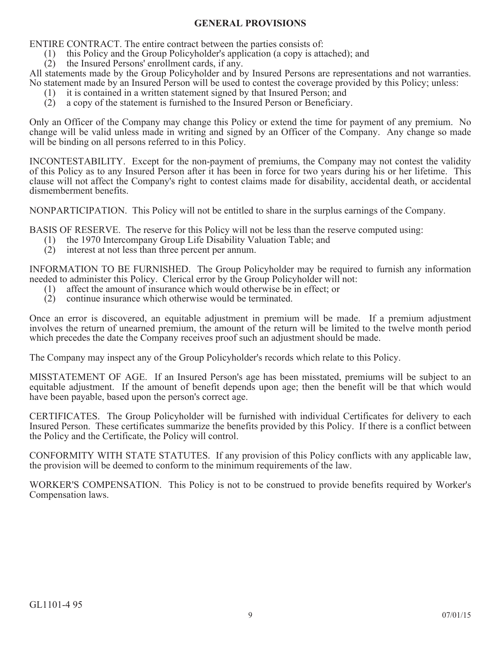# **GENERAL PROVISIONS**

ENTIRE CONTRACT. The entire contract between the parties consists of:

- (1) this Policy and the Group Policyholder's application (a copy is attached); and
- (2) the Insured Persons' enrollment cards, if any.

All statements made by the Group Policyholder and by Insured Persons are representations and not warranties. No statement made by an Insured Person will be used to contest the coverage provided by this Policy; unless:

- (1) it is contained in a written statement signed by that Insured Person; and
- (2) a copy of the statement is furnished to the Insured Person or Beneficiary.

Only an Officer of the Company may change this Policy or extend the time for payment of any premium. No change will be valid unless made in writing and signed by an Officer of the Company. Any change so made will be binding on all persons referred to in this Policy.

INCONTESTABILITY. Except for the non-payment of premiums, the Company may not contest the validity of this Policy as to any Insured Person after it has been in force for two years during his or her lifetime. This clause will not affect the Company's right to contest claims made for disability, accidental death, or accidental dismemberment benefits.

NONPARTICIPATION. This Policy will not be entitled to share in the surplus earnings of the Company.

BASIS OF RESERVE. The reserve for this Policy will not be less than the reserve computed using:

- (1) the 1970 Intercompany Group Life Disability Valuation Table; and
- (2) interest at not less than three percent per annum.

INFORMATION TO BE FURNISHED. The Group Policyholder may be required to furnish any information needed to administer this Policy. Clerical error by the Group Policyholder will not:

- (1) affect the amount of insurance which would otherwise be in effect; or
- (2) continue insurance which otherwise would be terminated.

Once an error is discovered, an equitable adjustment in premium will be made. If a premium adjustment involves the return of unearned premium, the amount of the return will be limited to the twelve month period which precedes the date the Company receives proof such an adjustment should be made.

The Company may inspect any of the Group Policyholder's records which relate to this Policy.

MISSTATEMENT OF AGE. If an Insured Person's age has been misstated, premiums will be subject to an equitable adjustment. If the amount of benefit depends upon age; then the benefit will be that which would have been payable, based upon the person's correct age.

CERTIFICATES. The Group Policyholder will be furnished with individual Certificates for delivery to each Insured Person. These certificates summarize the benefits provided by this Policy. If there is a conflict between the Policy and the Certificate, the Policy will control.

CONFORMITY WITH STATE STATUTES. If any provision of this Policy conflicts with any applicable law, the provision will be deemed to conform to the minimum requirements of the law.

WORKER'S COMPENSATION. This Policy is not to be construed to provide benefits required by Worker's Compensation laws.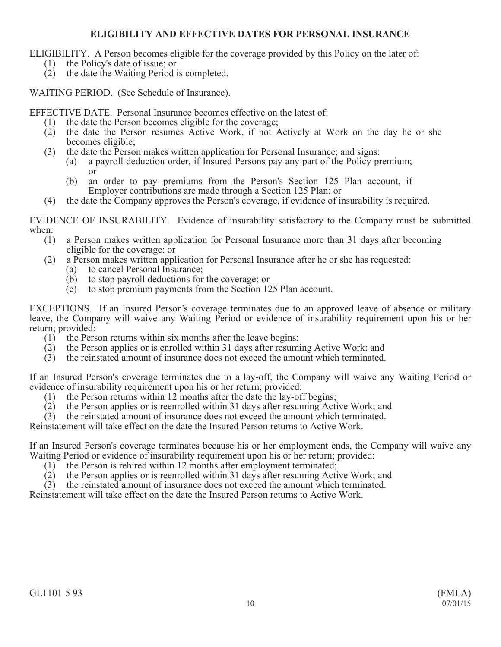# **ELIGIBILITY AND EFFECTIVE DATES FOR PERSONAL INSURANCE**

ELIGIBILITY. A Person becomes eligible for the coverage provided by this Policy on the later of:

- (1) the Policy's date of issue; or
- (2) the date the Waiting Period is completed.

WAITING PERIOD. (See Schedule of Insurance).

EFFECTIVE DATE. Personal Insurance becomes effective on the latest of:

- (1) the date the Person becomes eligible for the coverage;
- (2) the date the Person resumes Active Work, if not Actively at Work on the day he or she becomes eligible;
- (3) the date the Person makes written application for Personal Insurance; and signs:
	- (a) a payroll deduction order, if Insured Persons pay any part of the Policy premium; or
	- (b) an order to pay premiums from the Person's Section 125 Plan account, if Employer contributions are made through a Section 125 Plan; or
- (4) the date the Company approves the Person's coverage, if evidence of insurability is required.

EVIDENCE OF INSURABILITY. Evidence of insurability satisfactory to the Company must be submitted when:  $(1)$ 

- a Person makes written application for Personal Insurance more than 31 days after becoming eligible for the coverage; or
- (2) a Person makes written application for Personal Insurance after he or she has requested:
	- (a) to cancel Personal Insurance;
	- (b) to stop payroll deductions for the coverage; or
	- (c) to stop premium payments from the Section 125 Plan account.

EXCEPTIONS. If an Insured Person's coverage terminates due to an approved leave of absence or military leave, the Company will waive any Waiting Period or evidence of insurability requirement upon his or her return; provided:

- (1) the Person returns within six months after the leave begins;
- (2) the Person applies or is enrolled within 31 days after resuming Active Work; and
- (3) the reinstated amount of insurance does not exceed the amount which terminated.

If an Insured Person's coverage terminates due to a lay-off, the Company will waive any Waiting Period or evidence of insurability requirement upon his or her return; provided:

- (1) the Person returns within 12 months after the date the lay-off begins;
- (2) the Person applies or is reenrolled within 31 days after resuming Active Work; and
- (3) the reinstated amount of insurance does not exceed the amount which terminated.

Reinstatement will take effect on the date the Insured Person returns to Active Work.

If an Insured Person's coverage terminates because his or her employment ends, the Company will waive any Waiting Period or evidence of insurability requirement upon his or her return; provided:

- (1) the Person is rehired within 12 months after employment terminated;
- (2) the Person applies or is reenrolled within 31 days after resuming Active Work; and
- (3) the reinstated amount of insurance does not exceed the amount which terminated.

Reinstatement will take effect on the date the Insured Person returns to Active Work.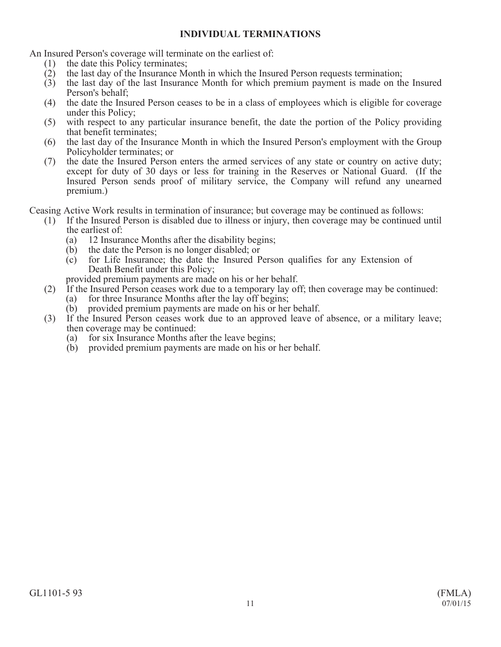# **INDIVIDUAL TERMINATIONS**

An Insured Person's coverage will terminate on the earliest of:

- (1) the date this Policy terminates;
- (2) the last day of the Insurance Month in which the Insured Person requests termination;
- (3) the last day of the last Insurance Month for which premium payment is made on the Insured Person's behalf;
- (4) the date the Insured Person ceases to be in a class of employees which is eligible for coverage under this Policy;
- (5) with respect to any particular insurance benefit, the date the portion of the Policy providing that benefit terminates;
- (6) the last day of the Insurance Month in which the Insured Person's employment with the Group Policyholder terminates; or
- (7) the date the Insured Person enters the armed services of any state or country on active duty; except for duty of 30 days or less for training in the Reserves or National Guard. (If the Insured Person sends proof of military service, the Company will refund any unearned premium.)

Ceasing Active Work results in termination of insurance; but coverage may be continued as follows:

- (1) If the Insured Person is disabled due to illness or injury, then coverage may be continued until the earliest of:
	- (a) 12 Insurance Months after the disability begins;
	- (b) the date the Person is no longer disabled; or (c) for Life Insurance; the date the Insured P
	- for Life Insurance; the date the Insured Person qualifies for any Extension of Death Benefit under this Policy;

provided premium payments are made on his or her behalf.

- (2) If the Insured Person ceases work due to a temporary lay off; then coverage may be continued:
	- (a) for three Insurance Months after the lay off begins;
	- (b) provided premium payments are made on his or her behalf.
- (3) If the Insured Person ceases work due to an approved leave of absence, or a military leave; then coverage may be continued:
	- (a) for six Insurance Months after the leave begins;
	- (b) provided premium payments are made on his or her behalf.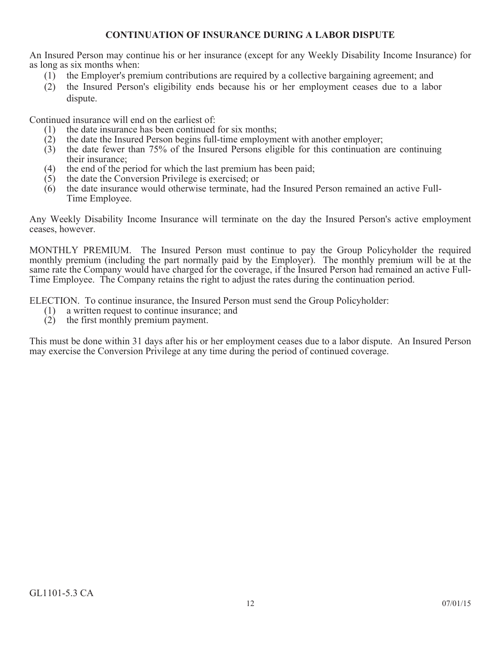# **CONTINUATION OF INSURANCE DURING A LABOR DISPUTE**

An Insured Person may continue his or her insurance (except for any Weekly Disability Income Insurance) for as long as six months when:

- (1) the Employer's premium contributions are required by a collective bargaining agreement; and
- (2) the Insured Person's eligibility ends because his or her employment ceases due to a labor dispute.

Continued insurance will end on the earliest of:

- (1) the date insurance has been continued for six months;
- (2) the date the Insured Person begins full-time employment with another employer;<br>(3) the date fewer than  $75\%$  of the Insured Persons eligible for this continuation
- (3) the date fewer than 75% of the Insured Persons eligible for this continuation are continuing their insurance;
- (4) the end of the period for which the last premium has been paid;
- (5) the date the Conversion Privilege is exercised; or
- (6) the date insurance would otherwise terminate, had the Insured Person remained an active Full-Time Employee.

Any Weekly Disability Income Insurance will terminate on the day the Insured Person's active employment ceases, however.

MONTHLY PREMIUM. The Insured Person must continue to pay the Group Policyholder the required monthly premium (including the part normally paid by the Employer). The monthly premium will be at the same rate the Company would have charged for the coverage, if the Insured Person had remained an active Full-Time Employee. The Company retains the right to adjust the rates during the continuation period.

ELECTION. To continue insurance, the Insured Person must send the Group Policyholder:

- (1) a written request to continue insurance; and
- (2) the first monthly premium payment.

This must be done within 31 days after his or her employment ceases due to a labor dispute. An Insured Person may exercise the Conversion Privilege at any time during the period of continued coverage.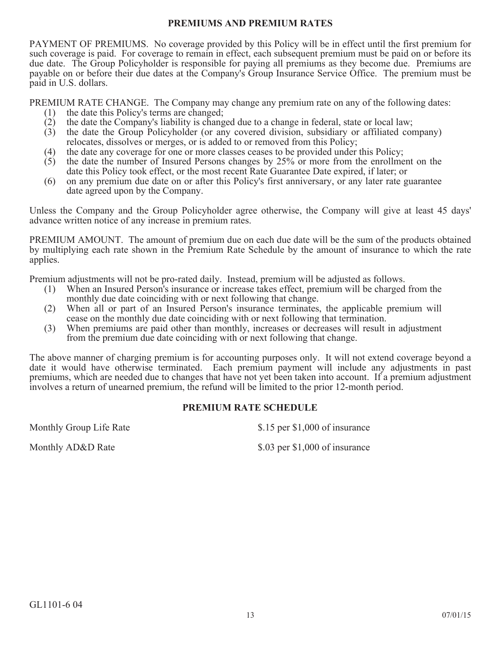## **PREMIUMS AND PREMIUM RATES**

PAYMENT OF PREMIUMS. No coverage provided by this Policy will be in effect until the first premium for such coverage is paid. For coverage to remain in effect, each subsequent premium must be paid on or before its due date. The Group Policyholder is responsible for paying all premiums as they become due. Premiums are payable on or before their due dates at the Company's Group Insurance Service Office. The premium must be paid in U.S. dollars.

PREMIUM RATE CHANGE. The Company may change any premium rate on any of the following dates:

- (1) the date this Policy's terms are changed;
- (2) the date the Company's liability is changed due to a change in federal, state or local law;<br>(3) the date the Group Policyholder (or any covered division, subsidiary or affiliated con
- (3) the date the Group Policyholder (or any covered division, subsidiary or affiliated company) relocates, dissolves or merges, or is added to or removed from this Policy;
- (4) the date any coverage for one or more classes ceases to be provided under this Policy;
- (5) the date the number of Insured Persons changes by 25% or more from the enrollment on the date this Policy took effect, or the most recent Rate Guarantee Date expired, if later; or
- (6) on any premium due date on or after this Policy's first anniversary, or any later rate guarantee date agreed upon by the Company.

Unless the Company and the Group Policyholder agree otherwise, the Company will give at least 45 days' advance written notice of any increase in premium rates.

PREMIUM AMOUNT. The amount of premium due on each due date will be the sum of the products obtained by multiplying each rate shown in the Premium Rate Schedule by the amount of insurance to which the rate applies.

Premium adjustments will not be pro-rated daily. Instead, premium will be adjusted as follows.

- (1) When an Insured Person's insurance or increase takes effect, premium will be charged from the monthly due date coinciding with or next following that change.
- (2) When all or part of an Insured Person's insurance terminates, the applicable premium will cease on the monthly due date coinciding with or next following that termination.
- (3) When premiums are paid other than monthly, increases or decreases will result in adjustment from the premium due date coinciding with or next following that change.

The above manner of charging premium is for accounting purposes only. It will not extend coverage beyond a date it would have otherwise terminated. Each premium payment will include any adjustments in past premiums, which are needed due to changes that have not yet been taken into account. If a premium adjustment involves a return of unearned premium, the refund will be limited to the prior 12-month period.

# **PREMIUM RATE SCHEDULE**

Monthly Group Life Rate \$1,000 of insurance

Monthly AD&D Rate \$.03 per \$1,000 of insurance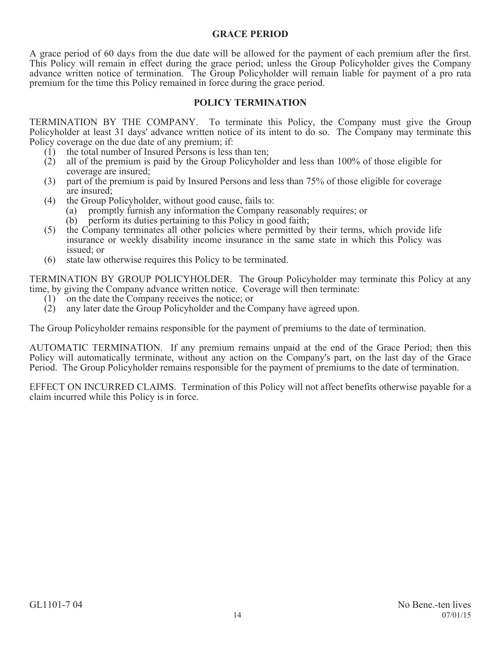# **GRACE PERIOD**

A grace period of 60 days from the due date will be allowed for the payment of each premium after the first. This Policy will remain in effect during the grace period; unless the Group Policyholder gives the Company advance written notice of termination. The Group Policyholder will remain liable for payment of a pro rata premium for the time this Policy remained in force during the grace period.

# **POLICY TERMINATION**

TERMINATION BY THE COMPANY. To terminate this Policy, the Company must give the Group Policyholder at least 31 days' advance written notice of its intent to do so. The Company may terminate this Policy coverage on the due date of any premium; if:

- (1) the total number of Insured Persons is less than ten;
- (2) all of the premium is paid by the Group Policyholder and less than 100% of those eligible for coverage are insured;
- (3) part of the premium is paid by Insured Persons and less than 75% of those eligible for coverage are insured;
- (4) the Group Policyholder, without good cause, fails to:
	- (a) promptly furnish any information the Company reasonably requires; or
		- (b) perform its duties pertaining to this Policy in good faith;
- (5) the Company terminates all other policies where permitted by their terms, which provide life insurance or weekly disability income insurance in the same state in which this Policy was issued; or
- (6) state law otherwise requires this Policy to be terminated.

TERMINATION BY GROUP POLICYHOLDER. The Group Policyholder may terminate this Policy at any time, by giving the Company advance written notice. Coverage will then terminate:<br>(1) on the date the Company receives the notice; or

- (1) on the date the Company receives the notice; or
- (2) any later date the Group Policyholder and the Company have agreed upon.

The Group Policyholder remains responsible for the payment of premiums to the date of termination.

AUTOMATIC TERMINATION. If any premium remains unpaid at the end of the Grace Period; then this Policy will automatically terminate, without any action on the Company's part, on the last day of the Grace Period. The Group Policyholder remains responsible for the payment of premiums to the date of termination.

EFFECT ON INCURRED CLAIMS. Termination of this Policy will not affect benefits otherwise payable for a claim incurred while this Policy is in force.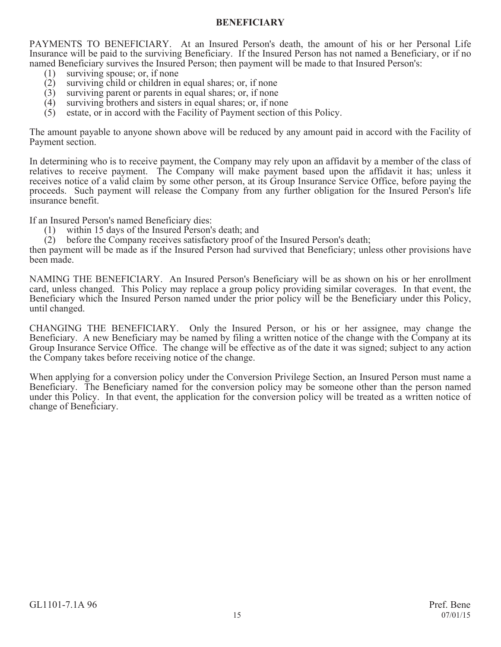# **BENEFICIARY**

PAYMENTS TO BENEFICIARY. At an Insured Person's death, the amount of his or her Personal Life Insurance will be paid to the surviving Beneficiary. If the Insured Person has not named a Beneficiary, or if no named Beneficiary survives the Insured Person; then payment will be made to that Insured Person's:

- (1) surviving spouse; or, if none<br>(2) surviving child or children in
- surviving child or children in equal shares; or, if none
- (3) surviving parent or parents in equal shares; or, if none (4) surviving brothers and sisters in equal shares; or, if no
- (4) surviving brothers and sisters in equal shares; or, if none (5) estate, or in accord with the Facility of Payment section of
- estate, or in accord with the Facility of Payment section of this Policy.

The amount payable to anyone shown above will be reduced by any amount paid in accord with the Facility of Payment section.

In determining who is to receive payment, the Company may rely upon an affidavit by a member of the class of relatives to receive payment. The Company will make payment based upon the affidavit it has; unless it receives notice of a valid claim by some other person, at its Group Insurance Service Office, before paying the proceeds. Such payment will release the Company from any further obligation for the Insured Person's life insurance benefit.

If an Insured Person's named Beneficiary dies:

- (1) within 15 days of the Insured Person's death; and
- (2) before the Company receives satisfactory proof of the Insured Person's death;

then payment will be made as if the Insured Person had survived that Beneficiary; unless other provisions have been made.

NAMING THE BENEFICIARY. An Insured Person's Beneficiary will be as shown on his or her enrollment card, unless changed. This Policy may replace a group policy providing similar coverages. In that event, the Beneficiary which the Insured Person named under the prior policy will be the Beneficiary under this Policy, until changed.

CHANGING THE BENEFICIARY. Only the Insured Person, or his or her assignee, may change the Beneficiary. A new Beneficiary may be named by filing a written notice of the change with the Company at its Group Insurance Service Office. The change will be effective as of the date it was signed; subject to any action the Company takes before receiving notice of the change.

When applying for a conversion policy under the Conversion Privilege Section, an Insured Person must name a Beneficiary. The Beneficiary named for the conversion policy may be someone other than the person named under this Policy. In that event, the application for the conversion policy will be treated as a written notice of change of Beneficiary.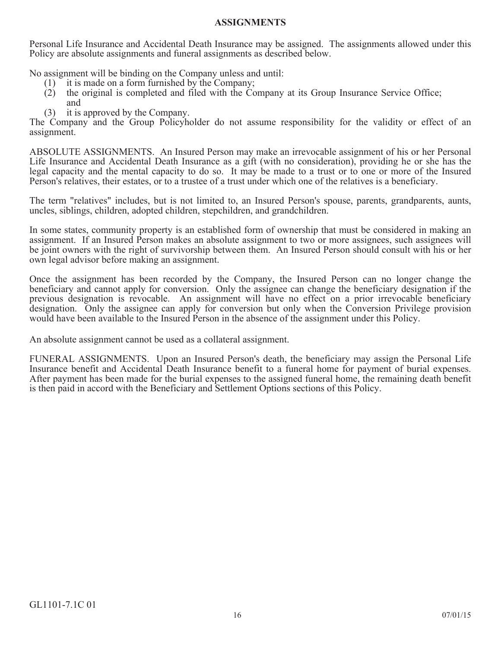## **ASSIGNMENTS**

Personal Life Insurance and Accidental Death Insurance may be assigned. The assignments allowed under this Policy are absolute assignments and funeral assignments as described below.

No assignment will be binding on the Company unless and until:

- (1) it is made on a form furnished by the Company;
- (2) the original is completed and filed with the Company at its Group Insurance Service Office; and
- (3) it is approved by the Company.

The Company and the Group Policyholder do not assume responsibility for the validity or effect of an assignment.

ABSOLUTE ASSIGNMENTS. An Insured Person may make an irrevocable assignment of his or her Personal Life Insurance and Accidental Death Insurance as a gift (with no consideration), providing he or she has the legal capacity and the mental capacity to do so. It may be made to a trust or to one or more of the Insured Person's relatives, their estates, or to a trustee of a trust under which one of the relatives is a beneficiary.

The term "relatives" includes, but is not limited to, an Insured Person's spouse, parents, grandparents, aunts, uncles, siblings, children, adopted children, stepchildren, and grandchildren.

In some states, community property is an established form of ownership that must be considered in making an assignment. If an Insured Person makes an absolute assignment to two or more assignees, such assignees will be joint owners with the right of survivorship between them. An Insured Person should consult with his or her own legal advisor before making an assignment.

Once the assignment has been recorded by the Company, the Insured Person can no longer change the beneficiary and cannot apply for conversion. Only the assignee can change the beneficiary designation if the previous designation is revocable. An assignment will have no effect on a prior irrevocable beneficiary designation. Only the assignee can apply for conversion but only when the Conversion Privilege provision would have been available to the Insured Person in the absence of the assignment under this Policy.

An absolute assignment cannot be used as a collateral assignment.

FUNERAL ASSIGNMENTS. Upon an Insured Person's death, the beneficiary may assign the Personal Life Insurance benefit and Accidental Death Insurance benefit to a funeral home for payment of burial expenses. After payment has been made for the burial expenses to the assigned funeral home, the remaining death benefit is then paid in accord with the Beneficiary and Settlement Options sections of this Policy.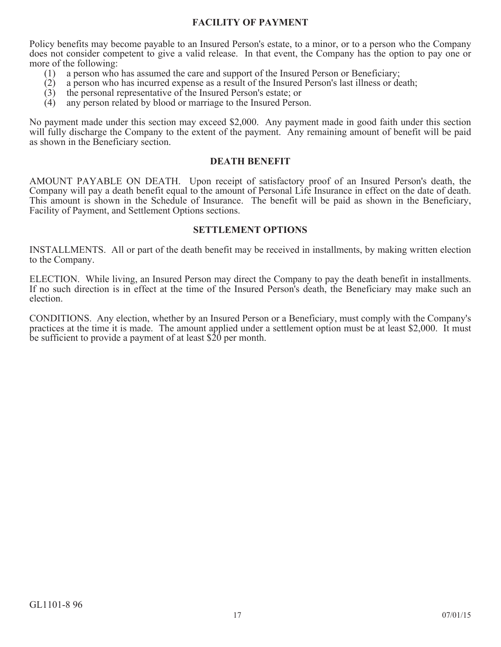# **FACILITY OF PAYMENT**

Policy benefits may become payable to an Insured Person's estate, to a minor, or to a person who the Company does not consider competent to give a valid release. In that event, the Company has the option to pay one or more of the following:

- (1) a person who has assumed the care and support of the Insured Person or Beneficiary;<br>(2) a person who has incurred expense as a result of the Insured Person's last illness or de
- (2) a person who has incurred expense as a result of the Insured Person's last illness or death;
- (3) the personal representative of the Insured Person's estate; or (4) any person related by blood or marriage to the Insured Perso
- any person related by blood or marriage to the Insured Person.

No payment made under this section may exceed \$2,000. Any payment made in good faith under this section will fully discharge the Company to the extent of the payment. Any remaining amount of benefit will be paid as shown in the Beneficiary section.

# **DEATH BENEFIT**

AMOUNT PAYABLE ON DEATH. Upon receipt of satisfactory proof of an Insured Person's death, the Company will pay a death benefit equal to the amount of Personal Life Insurance in effect on the date of death. This amount is shown in the Schedule of Insurance. The benefit will be paid as shown in the Beneficiary, Facility of Payment, and Settlement Options sections.

## **SETTLEMENT OPTIONS**

INSTALLMENTS. All or part of the death benefit may be received in installments, by making written election to the Company.

ELECTION. While living, an Insured Person may direct the Company to pay the death benefit in installments. If no such direction is in effect at the time of the Insured Person's death, the Beneficiary may make such an election.

CONDITIONS. Any election, whether by an Insured Person or a Beneficiary, must comply with the Company's practices at the time it is made. The amount applied under a settlement option must be at least \$2,000. It must be sufficient to provide a payment of at least \$20 per month.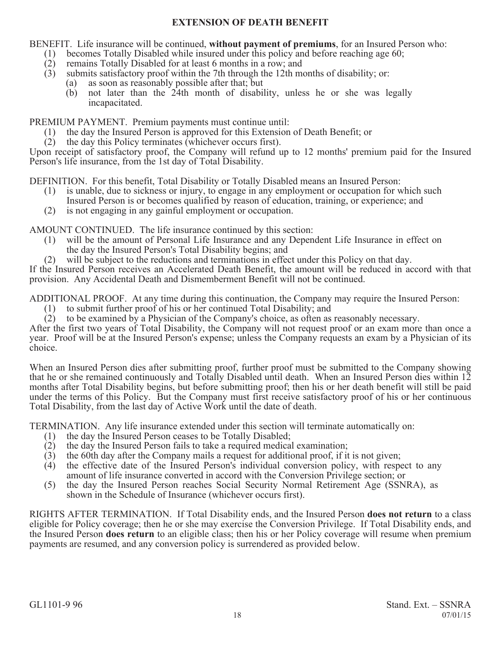# **EXTENSION OF DEATH BENEFIT**

BENEFIT. Life insurance will be continued, **without payment of premiums**, for an Insured Person who:

- (1) becomes Totally Disabled while insured under this policy and before reaching age 60;<br>(2) remains Totally Disabled for at least 6 months in a row; and
- remains Totally Disabled for at least 6 months in a row; and
- (3) submits satisfactory proof within the 7th through the 12th months of disability; or:
	- (a) as soon as reasonably possible after that; but
	- (b) not later than the 24th month of disability, unless he or she was legally incapacitated.

PREMIUM PAYMENT. Premium payments must continue until:

- (1) the day the Insured Person is approved for this Extension of Death Benefit; or
- (2) the day this Policy terminates (whichever occurs first).

Upon receipt of satisfactory proof, the Company will refund up to 12 months' premium paid for the Insured Person's life insurance, from the 1st day of Total Disability.

DEFINITION. For this benefit, Total Disability or Totally Disabled means an Insured Person:

- (1) is unable, due to sickness or injury, to engage in any employment or occupation for which such Insured Person is or becomes qualified by reason of education, training, or experience; and
- (2) is not engaging in any gainful employment or occupation.

AMOUNT CONTINUED. The life insurance continued by this section:

- (1) will be the amount of Personal Life Insurance and any Dependent Life Insurance in effect on the day the Insured Person's Total Disability begins; and
- (2) will be subject to the reductions and terminations in effect under this Policy on that day.

If the Insured Person receives an Accelerated Death Benefit, the amount will be reduced in accord with that provision. Any Accidental Death and Dismemberment Benefit will not be continued.

ADDITIONAL PROOF. At any time during this continuation, the Company may require the Insured Person:

- (1) to submit further proof of his or her continued Total Disability; and
- (2) to be examined by a Physician of the Company's choice, as often as reasonably necessary.

After the first two years of Total Disability, the Company will not request proof or an exam more than once a year. Proof will be at the Insured Person's expense; unless the Company requests an exam by a Physician of its choice.

When an Insured Person dies after submitting proof, further proof must be submitted to the Company showing that he or she remained continuously and Totally Disabled until death. When an Insured Person dies within 12 months after Total Disability begins, but before submitting proof; then his or her death benefit will still be paid under the terms of this Policy. But the Company must first receive satisfactory proof of his or her continuous Total Disability, from the last day of Active Work until the date of death.

TERMINATION. Any life insurance extended under this section will terminate automatically on:

- (1) the day the Insured Person ceases to be Totally Disabled;
- $(2)$  the day the Insured Person fails to take a required medical examination;
- (3) the 60th day after the Company mails a request for additional proof, if it is not given;
- (4) the effective date of the Insured Person's individual conversion policy, with respect to any amount of life insurance converted in accord with the Conversion Privilege section; or
- (5) the day the Insured Person reaches Social Security Normal Retirement Age (SSNRA), as shown in the Schedule of Insurance (whichever occurs first).

RIGHTS AFTER TERMINATION. If Total Disability ends, and the Insured Person **does not return** to a class eligible for Policy coverage; then he or she may exercise the Conversion Privilege. If Total Disability ends, and the Insured Person **does return** to an eligible class; then his or her Policy coverage will resume when premium payments are resumed, and any conversion policy is surrendered as provided below.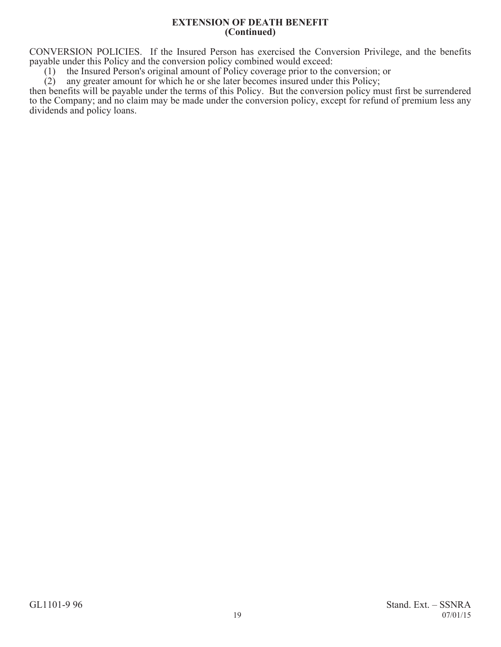#### **EXTENSION OF DEATH BENEFIT (Continued)**

CONVERSION POLICIES. If the Insured Person has exercised the Conversion Privilege, and the benefits payable under this Policy and the conversion policy combined would exceed:

(1) the Insured Person's original amount of Policy coverage prior to the conversion; or (2) any greater amount for which he or she later becomes insured under this Policy;

any greater amount for which he or she later becomes insured under this Policy;

then benefits will be payable under the terms of this Policy. But the conversion policy must first be surrendered to the Company; and no claim may be made under the conversion policy, except for refund of premium less any dividends and policy loans.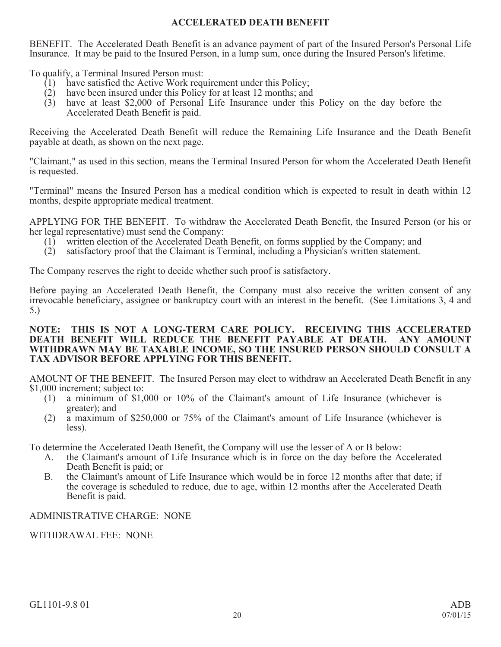# **ACCELERATED DEATH BENEFIT**

BENEFIT. The Accelerated Death Benefit is an advance payment of part of the Insured Person's Personal Life Insurance. It may be paid to the Insured Person, in a lump sum, once during the Insured Person's lifetime.

To qualify, a Terminal Insured Person must:

- (1) have satisfied the Active Work requirement under this Policy;
- (2) have been insured under this Policy for at least 12 months; and
- (3) have at least \$2,000 of Personal Life Insurance under this Policy on the day before the Accelerated Death Benefit is paid.

Receiving the Accelerated Death Benefit will reduce the Remaining Life Insurance and the Death Benefit payable at death, as shown on the next page.

"Claimant," as used in this section, means the Terminal Insured Person for whom the Accelerated Death Benefit is requested.

"Terminal" means the Insured Person has a medical condition which is expected to result in death within 12 months, despite appropriate medical treatment.

APPLYING FOR THE BENEFIT. To withdraw the Accelerated Death Benefit, the Insured Person (or his or her legal representative) must send the Company:

- (1) written election of the Accelerated Death Benefit, on forms supplied by the Company; and
- (2) satisfactory proof that the Claimant is Terminal, including a Physician's written statement.

The Company reserves the right to decide whether such proof is satisfactory.

Before paying an Accelerated Death Benefit, the Company must also receive the written consent of any irrevocable beneficiary, assignee or bankruptcy court with an interest in the benefit. (See Limitations 3, 4 and 5.)

## **NOTE: THIS IS NOT A LONG-TERM CARE POLICY. RECEIVING THIS ACCELERATED DEATH BENEFIT WILL REDUCE THE BENEFIT PAYABLE AT DEATH. ANY AMOUNT WITHDRAWN MAY BE TAXABLE INCOME, SO THE INSURED PERSON SHOULD CONSULT A TAX ADVISOR BEFORE APPLYING FOR THIS BENEFIT.**

AMOUNT OF THE BENEFIT. The Insured Person may elect to withdraw an Accelerated Death Benefit in any \$1,000 increment; subject to:

- (1) a minimum of \$1,000 or 10% of the Claimant's amount of Life Insurance (whichever is greater); and
- (2) a maximum of \$250,000 or 75% of the Claimant's amount of Life Insurance (whichever is less).

To determine the Accelerated Death Benefit, the Company will use the lesser of A or B below:

- A. the Claimant's amount of Life Insurance which is in force on the day before the Accelerated Death Benefit is paid; or
- B. the Claimant's amount of Life Insurance which would be in force 12 months after that date; if the coverage is scheduled to reduce, due to age, within 12 months after the Accelerated Death Benefit is paid.

# ADMINISTRATIVE CHARGE: NONE

WITHDRAWAL FEE: NONE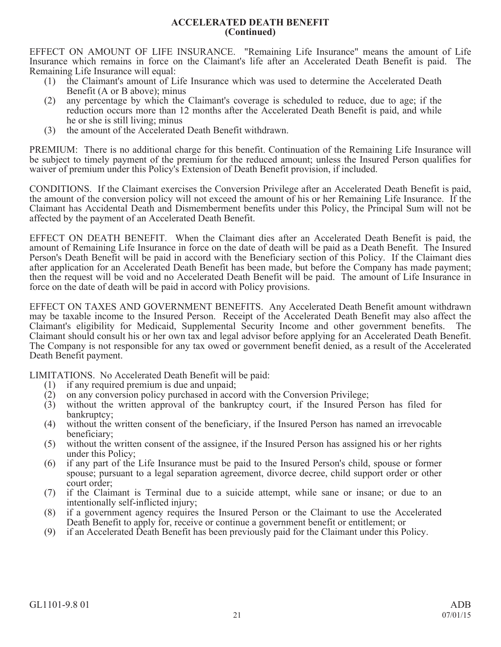## **ACCELERATED DEATH BENEFIT (Continued)**

EFFECT ON AMOUNT OF LIFE INSURANCE. "Remaining Life Insurance" means the amount of Life Insurance which remains in force on the Claimant's life after an Accelerated Death Benefit is paid. The Remaining Life Insurance will equal:

- (1) the Claimant's amount of Life Insurance which was used to determine the Accelerated Death Benefit (A or B above); minus
- (2) any percentage by which the Claimant's coverage is scheduled to reduce, due to age; if the reduction occurs more than 12 months after the Accelerated Death Benefit is paid, and while he or she is still living; minus
- (3) the amount of the Accelerated Death Benefit withdrawn.

PREMIUM: There is no additional charge for this benefit. Continuation of the Remaining Life Insurance will be subject to timely payment of the premium for the reduced amount; unless the Insured Person qualifies for waiver of premium under this Policy's Extension of Death Benefit provision, if included.

CONDITIONS. If the Claimant exercises the Conversion Privilege after an Accelerated Death Benefit is paid, the amount of the conversion policy will not exceed the amount of his or her Remaining Life Insurance. If the Claimant has Accidental Death and Dismemberment benefits under this Policy, the Principal Sum will not be affected by the payment of an Accelerated Death Benefit.

EFFECT ON DEATH BENEFIT. When the Claimant dies after an Accelerated Death Benefit is paid, the amount of Remaining Life Insurance in force on the date of death will be paid as a Death Benefit. The Insured Person's Death Benefit will be paid in accord with the Beneficiary section of this Policy. If the Claimant dies after application for an Accelerated Death Benefit has been made, but before the Company has made payment; then the request will be void and no Accelerated Death Benefit will be paid. The amount of Life Insurance in force on the date of death will be paid in accord with Policy provisions.

EFFECT ON TAXES AND GOVERNMENT BENEFITS. Any Accelerated Death Benefit amount withdrawn may be taxable income to the Insured Person. Receipt of the Accelerated Death Benefit may also affect the Claimant's eligibility for Medicaid, Supplemental Security Income and other government benefits. The Claimant should consult his or her own tax and legal advisor before applying for an Accelerated Death Benefit. The Company is not responsible for any tax owed or government benefit denied, as a result of the Accelerated Death Benefit payment.

LIMITATIONS. No Accelerated Death Benefit will be paid:

- 
- (1) if any required premium is due and unpaid;<br>(2) on any conversion policy purchased in acco on any conversion policy purchased in accord with the Conversion Privilege;
- (3) without the written approval of the bankruptcy court, if the Insured Person has filed for bankruptcy;
- (4) without the written consent of the beneficiary, if the Insured Person has named an irrevocable beneficiary;
- (5) without the written consent of the assignee, if the Insured Person has assigned his or her rights under this Policy;
- (6) if any part of the Life Insurance must be paid to the Insured Person's child, spouse or former spouse; pursuant to a legal separation agreement, divorce decree, child support order or other court order;
- (7) if the Claimant is Terminal due to a suicide attempt, while sane or insane; or due to an intentionally self-inflicted injury;
- (8) if a government agency requires the Insured Person or the Claimant to use the Accelerated Death Benefit to apply for, receive or continue a government benefit or entitlement; or
- (9) if an Accelerated Death Benefit has been previously paid for the Claimant under this Policy.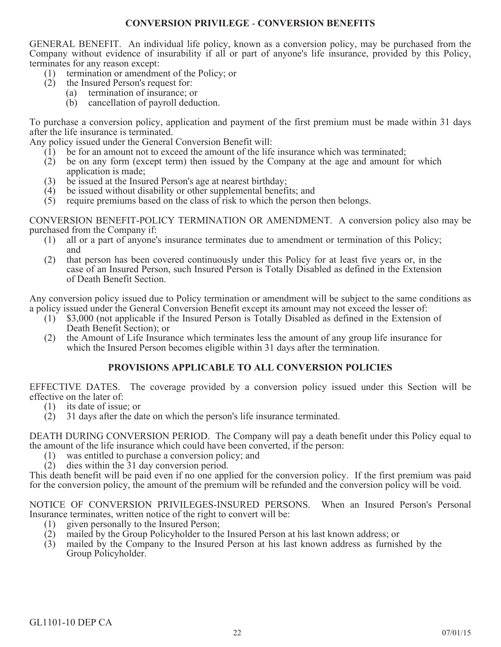# **CONVERSION PRIVILEGE** - **CONVERSION BENEFITS**

GENERAL BENEFIT. An individual life policy, known as a conversion policy, may be purchased from the Company without evidence of insurability if all or part of anyone's life insurance, provided by this Policy, terminates for any reason except:

- (1) termination or amendment of the Policy; or
- (2) the Insured Person's request for:
	- (a) termination of insurance; or
		- (b) cancellation of payroll deduction.

To purchase a conversion policy, application and payment of the first premium must be made within 31 days after the life insurance is terminated.

Any policy issued under the General Conversion Benefit will:

- (1) be for an amount not to exceed the amount of the life insurance which was terminated;
- (2) be on any form (except term) then issued by the Company at the age and amount for which application is made;
- (3) be issued at the Insured Person's age at nearest birthday;
- (4) be issued without disability or other supplemental benefits; and
- (5) require premiums based on the class of risk to which the person then belongs.

CONVERSION BENEFIT-POLICY TERMINATION OR AMENDMENT. A conversion policy also may be purchased from the Company if:

- (1) all or a part of anyone's insurance terminates due to amendment or termination of this Policy; and
- (2) that person has been covered continuously under this Policy for at least five years or, in the case of an Insured Person, such Insured Person is Totally Disabled as defined in the Extension of Death Benefit Section.

Any conversion policy issued due to Policy termination or amendment will be subject to the same conditions as a policy issued under the General Conversion Benefit except its amount may not exceed the lesser of:

- (1) \$3,000 (not applicable if the Insured Person is Totally Disabled as defined in the Extension of Death Benefit Section); or
- (2) the Amount of Life Insurance which terminates less the amount of any group life insurance for which the Insured Person becomes eligible within 31 days after the termination.

# **PROVISIONS APPLICABLE TO ALL CONVERSION POLICIES**

EFFECTIVE DATES. The coverage provided by a conversion policy issued under this Section will be effective on the later of:

- (1) its date of issue; or
- (2) 31 days after the date on which the person's life insurance terminated.

DEATH DURING CONVERSION PERIOD. The Company will pay a death benefit under this Policy equal to the amount of the life insurance which could have been converted, if the person:

- (1) was entitled to purchase a conversion policy; and
- (2) dies within the 31 day conversion period.

This death benefit will be paid even if no one applied for the conversion policy. If the first premium was paid for the conversion policy, the amount of the premium will be refunded and the conversion policy will be void.

NOTICE OF CONVERSION PRIVILEGES-INSURED PERSONS. When an Insured Person's Personal Insurance terminates, written notice of the right to convert will be:

- (1) given personally to the Insured Person;<br>(2) mailed by the Group Policyholder to the
- mailed by the Group Policyholder to the Insured Person at his last known address; or
- (3) mailed by the Company to the Insured Person at his last known address as furnished by the Group Policyholder.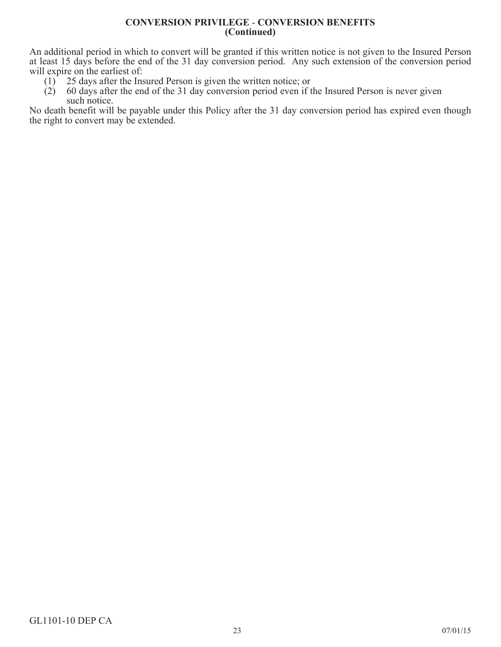## **CONVERSION PRIVILEGE** - **CONVERSION BENEFITS (Continued)**

An additional period in which to convert will be granted if this written notice is not given to the Insured Person at least 15 days before the end of the 31 day conversion period. Any such extension of the conversion period will expire on the earliest of:

- (1) 25 days after the Insured Person is given the written notice; or (2) 60 days after the end of the 31 day conversion period even if t
- (2) 60 days after the end of the 31 day conversion period even if the Insured Person is never given such notice.

No death benefit will be payable under this Policy after the 31 day conversion period has expired even though the right to convert may be extended.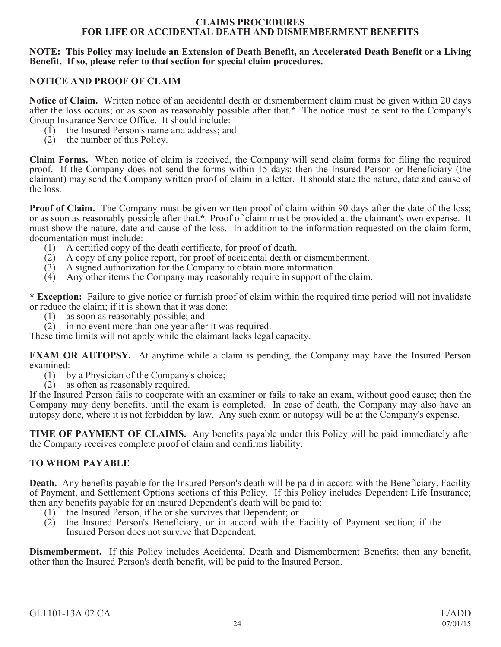## **CLAIMS PROCEDURES FOR LIFE OR ACCIDENTAL DEATH AND DISMEMBERMENT BENEFITS**

## **NOTE: This Policy may include an Extension of Death Benefit, an Accelerated Death Benefit or a Living Benefit. If so, please refer to that section for special claim procedures.**

# **NOTICE AND PROOF OF CLAIM**

**Notice of Claim.** Written notice of an accidental death or dismemberment claim must be given within 20 days after the loss occurs; or as soon as reasonably possible after that.**\*** The notice must be sent to the Company's Group Insurance Service Office. It should include:

- (1) the Insured Person's name and address; and
- (2) the number of this Policy.

**Claim Forms.** When notice of claim is received, the Company will send claim forms for filing the required proof. If the Company does not send the forms within 15 days; then the Insured Person or Beneficiary (the claimant) may send the Company written proof of claim in a letter. It should state the nature, date and cause of the loss.

**Proof of Claim.** The Company must be given written proof of claim within 90 days after the date of the loss; or as soon as reasonably possible after that.**\*** Proof of claim must be provided at the claimant's own expense. It must show the nature, date and cause of the loss. In addition to the information requested on the claim form, documentation must include:

- (1) A certified copy of the death certificate, for proof of death.
- (2) A copy of any police report, for proof of accidental death or dismemberment.
- $(3)$  A signed authorization for the Company to obtain more information.
- (4) Any other items the Company may reasonably require in support of the claim.

**\* Exception:** Failure to give notice or furnish proof of claim within the required time period will not invalidate or reduce the claim; if it is shown that it was done:

- (1) as soon as reasonably possible; and
- (2) in no event more than one year after it was required.

These time limits will not apply while the claimant lacks legal capacity.

**EXAM OR AUTOPSY.** At anytime while a claim is pending, the Company may have the Insured Person examined:

- (1) by a Physician of the Company's choice;
- (2) as often as reasonably required.

If the Insured Person fails to cooperate with an examiner or fails to take an exam, without good cause; then the Company may deny benefits, until the exam is completed. In case of death, the Company may also have an autopsy done, where it is not forbidden by law. Any such exam or autopsy will be at the Company's expense.

**TIME OF PAYMENT OF CLAIMS.** Any benefits payable under this Policy will be paid immediately after the Company receives complete proof of claim and confirms liability.

# **TO WHOM PAYABLE**

**Death.** Any benefits payable for the Insured Person's death will be paid in accord with the Beneficiary, Facility of Payment, and Settlement Options sections of this Policy. If this Policy includes Dependent Life Insurance; then any benefits payable for an insured Dependent's death will be paid to:

- (1) the Insured Person, if he or she survives that Dependent; or
- (2) the Insured Person's Beneficiary, or in accord with the Facility of Payment section; if the Insured Person does not survive that Dependent.

**Dismemberment.** If this Policy includes Accidental Death and Dismemberment Benefits; then any benefit, other than the Insured Person's death benefit, will be paid to the Insured Person.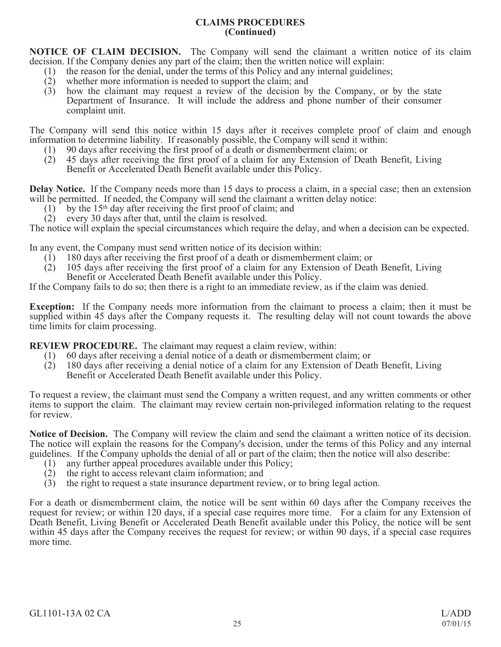# **CLAIMS PROCEDURES (Continued)**

**NOTICE OF CLAIM DECISION.** The Company will send the claimant a written notice of its claim decision. If the Company denies any part of the claim; then the written notice will explain:

- (1) the reason for the denial, under the terms of this Policy and any internal guidelines;
- (2) whether more information is needed to support the claim; and
- (3) how the claimant may request a review of the decision by the Company, or by the state Department of Insurance. It will include the address and phone number of their consumer complaint unit.

The Company will send this notice within 15 days after it receives complete proof of claim and enough information to determine liability. If reasonably possible, the Company will send it within:

- (1) 90 days after receiving the first proof of a death or dismemberment claim; or
- (2) 45 days after receiving the first proof of a claim for any Extension of Death Benefit, Living Benefit or Accelerated Death Benefit available under this Policy.

**Delay Notice.** If the Company needs more than 15 days to process a claim, in a special case; then an extension will be permitted. If needed, the Company will send the claimant a written delay notice:

- $(1)$  by the 15<sup>th</sup> day after receiving the first proof of claim; and
- (2) every 30 days after that, until the claim is resolved.

The notice will explain the special circumstances which require the delay, and when a decision can be expected.

In any event, the Company must send written notice of its decision within:

- (1) 180 days after receiving the first proof of a death or dismemberment claim; or
- (2) 105 days after receiving the first proof of a claim for any Extension of Death Benefit, Living Benefit or Accelerated Death Benefit available under this Policy.

If the Company fails to do so; then there is a right to an immediate review, as if the claim was denied.

**Exception:** If the Company needs more information from the claimant to process a claim; then it must be supplied within 45 days after the Company requests it. The resulting delay will not count towards the above time limits for claim processing.

**REVIEW PROCEDURE.** The claimant may request a claim review, within:

- (1) 60 days after receiving a denial notice of a death or dismemberment claim; or (2) 180 days after receiving a denial notice of a claim for any Extension of Deat
- 180 days after receiving a denial notice of a claim for any Extension of Death Benefit, Living Benefit or Accelerated Death Benefit available under this Policy.

To request a review, the claimant must send the Company a written request, and any written comments or other items to support the claim. The claimant may review certain non-privileged information relating to the request for review.

**Notice of Decision.** The Company will review the claim and send the claimant a written notice of its decision. The notice will explain the reasons for the Company's decision, under the terms of this Policy and any internal guidelines. If the Company upholds the denial of all or part of the claim; then the notice will also describe:

- (1) any further appeal procedures available under this Policy;
- (2) the right to access relevant claim information; and
- (3) the right to request a state insurance department review, or to bring legal action.

For a death or dismemberment claim, the notice will be sent within 60 days after the Company receives the request for review; or within 120 days, if a special case requires more time. For a claim for any Extension of Death Benefit, Living Benefit or Accelerated Death Benefit available under this Policy, the notice will be sent within 45 days after the Company receives the request for review; or within 90 days, if a special case requires more time.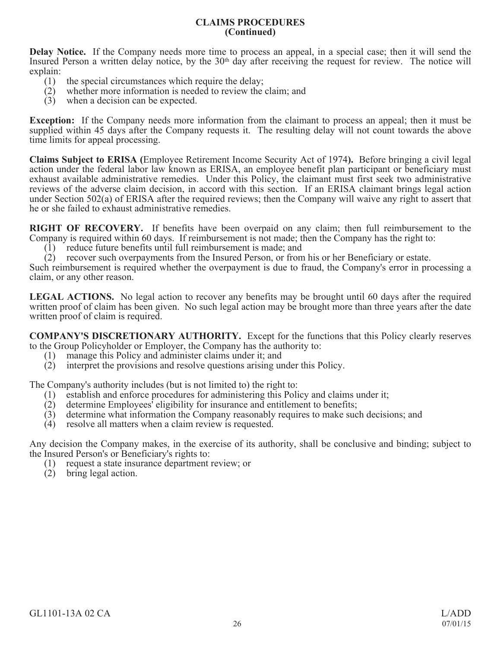## **CLAIMS PROCEDURES (Continued)**

**Delay Notice.** If the Company needs more time to process an appeal, in a special case; then it will send the Insured Person a written delay notice, by the 30<sup>th</sup> day after receiving the request for review. The notice will explain:

- (1) the special circumstances which require the delay;
- (2) whether more information is needed to review the claim; and
- (3) when a decision can be expected.

**Exception:** If the Company needs more information from the claimant to process an appeal; then it must be supplied within 45 days after the Company requests it. The resulting delay will not count towards the above time limits for appeal processing.

**Claims Subject to ERISA (**Employee Retirement Income Security Act of 1974**).** Before bringing a civil legal action under the federal labor law known as ERISA, an employee benefit plan participant or beneficiary must exhaust available administrative remedies. Under this Policy, the claimant must first seek two administrative reviews of the adverse claim decision, in accord with this section. If an ERISA claimant brings legal action under Section 502(a) of ERISA after the required reviews; then the Company will waive any right to assert that he or she failed to exhaust administrative remedies.

**RIGHT OF RECOVERY.** If benefits have been overpaid on any claim; then full reimbursement to the Company is required within 60 days. If reimbursement is not made; then the Company has the right to:

(1) reduce future benefits until full reimbursement is made; and

(2) recover such overpayments from the Insured Person, or from his or her Beneficiary or estate.

Such reimbursement is required whether the overpayment is due to fraud, the Company's error in processing a claim, or any other reason.

**LEGAL ACTIONS.** No legal action to recover any benefits may be brought until 60 days after the required written proof of claim has been given. No such legal action may be brought more than three years after the date written proof of claim is required.

**COMPANY'S DISCRETIONARY AUTHORITY.** Except for the functions that this Policy clearly reserves to the Group Policyholder or Employer, the Company has the authority to:

- (1) manage this Policy and administer claims under it; and
- (2) interpret the provisions and resolve questions arising under this Policy.

The Company's authority includes (but is not limited to) the right to:

- (1) establish and enforce procedures for administering this Policy and claims under it;<br>(2) determine Employees' eligibility for insurance and entitlement to benefits;
- determine Employees' eligibility for insurance and entitlement to benefits;
- (3) determine what information the Company reasonably requires to make such decisions; and
- (4) resolve all matters when a claim review is requested.

Any decision the Company makes, in the exercise of its authority, shall be conclusive and binding; subject to the Insured Person's or Beneficiary's rights to:

- (1) request a state insurance department review; or
- (2) bring legal action.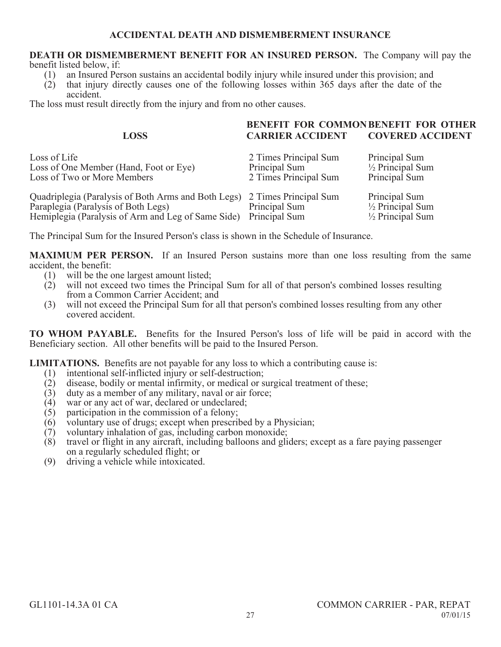#### **DEATH OR DISMEMBERMENT BENEFIT FOR AN INSURED PERSON.** The Company will pay the benefit listed below, if:

- (1) an Insured Person sustains an accidental bodily injury while insured under this provision; and
- (2) that injury directly causes one of the following losses within 365 days after the date of the accident.

The loss must result directly from the injury and from no other causes.

|                                                                                                                                                                        | BENEFIT FOR COMMONBENEFIT FOR OTHER                             |                                                                             |
|------------------------------------------------------------------------------------------------------------------------------------------------------------------------|-----------------------------------------------------------------|-----------------------------------------------------------------------------|
| <b>LOSS</b>                                                                                                                                                            | <b>CARRIER ACCIDENT</b>                                         | <b>COVERED ACCIDENT</b>                                                     |
| Loss of Life<br>Loss of One Member (Hand, Foot or Eye)<br>Loss of Two or More Members                                                                                  | 2 Times Principal Sum<br>Principal Sum<br>2 Times Principal Sum | Principal Sum<br>$\frac{1}{2}$ Principal Sum<br>Principal Sum               |
| Quadriplegia (Paralysis of Both Arms and Both Legs) 2 Times Principal Sum<br>Paraplegia (Paralysis of Both Legs)<br>Hemiplegia (Paralysis of Arm and Leg of Same Side) | Principal Sum<br>Principal Sum                                  | Principal Sum<br>$\frac{1}{2}$ Principal Sum<br>$\frac{1}{2}$ Principal Sum |

The Principal Sum for the Insured Person's class is shown in the Schedule of Insurance.

**MAXIMUM PER PERSON.** If an Insured Person sustains more than one loss resulting from the same accident, the benefit:

- (1) will be the one largest amount listed;
- (2) will not exceed two times the Principal Sum for all of that person's combined losses resulting from a Common Carrier Accident; and
- (3) will not exceed the Principal Sum for all that person's combined losses resulting from any other covered accident.

**TO WHOM PAYABLE.** Benefits for the Insured Person's loss of life will be paid in accord with the Beneficiary section. All other benefits will be paid to the Insured Person.

**LIMITATIONS.** Benefits are not payable for any loss to which a contributing cause is:<br>(1) intentional self-inflicted injury or self-destruction:

- (1) intentional self-inflicted injury or self-destruction;<br>(2) disease, bodily or mental infirmity, or medical or s
- $(2)$  disease, bodily or mental infirmity, or medical or surgical treatment of these;<br>(3) duty as a member of any military, naval or air force;
- (3) duty as a member of any military, naval or air force;<br>(4) war or any act of war, declared or undeclared:
- (4) war or any act of war, declared or undeclared;<br>(5) participation in the commission of a felony;
- 
- $(5)$  participation in the commission of a felony;<br> $(6)$  voluntary use of drugs; except when prescrib voluntary use of drugs; except when prescribed by a Physician;
- $(7)$  voluntary inhalation of gas, including carbon monoxide;<br>(8) travel or flight in any aircraft, including balloons and glies
- (8) travel or flight in any aircraft, including balloons and gliders; except as a fare paying passenger on a regularly scheduled flight; or
- (9) driving a vehicle while intoxicated.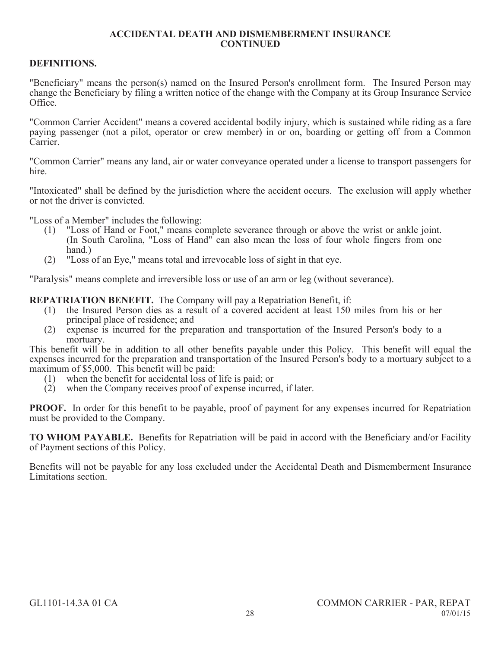# **DEFINITIONS.**

"Beneficiary" means the person(s) named on the Insured Person's enrollment form. The Insured Person may change the Beneficiary by filing a written notice of the change with the Company at its Group Insurance Service Office.

"Common Carrier Accident" means a covered accidental bodily injury, which is sustained while riding as a fare paying passenger (not a pilot, operator or crew member) in or on, boarding or getting off from a Common **Carrier** 

"Common Carrier" means any land, air or water conveyance operated under a license to transport passengers for hire.

"Intoxicated" shall be defined by the jurisdiction where the accident occurs. The exclusion will apply whether or not the driver is convicted.

"Loss of a Member" includes the following:

- (1) "Loss of Hand or Foot," means complete severance through or above the wrist or ankle joint. (In South Carolina, "Loss of Hand" can also mean the loss of four whole fingers from one hand.)
- (2) "Loss of an Eye," means total and irrevocable loss of sight in that eye.

"Paralysis" means complete and irreversible loss or use of an arm or leg (without severance).

**REPATRIATION BENEFIT.** The Company will pay a Repatriation Benefit, if:

- (1) the Insured Person dies as a result of a covered accident at least 150 miles from his or her principal place of residence; and
- (2) expense is incurred for the preparation and transportation of the Insured Person's body to a mortuary.

This benefit will be in addition to all other benefits payable under this Policy. This benefit will equal the expenses incurred for the preparation and transportation of the Insured Person's body to a mortuary subject to a maximum of \$5,000. This benefit will be paid:

- (1) when the benefit for accidental loss of life is paid; or
- $(2)$  when the Company receives proof of expense incurred, if later.

**PROOF.** In order for this benefit to be payable, proof of payment for any expenses incurred for Repatriation must be provided to the Company.

**TO WHOM PAYABLE.** Benefits for Repatriation will be paid in accord with the Beneficiary and/or Facility of Payment sections of this Policy.

Benefits will not be payable for any loss excluded under the Accidental Death and Dismemberment Insurance Limitations section.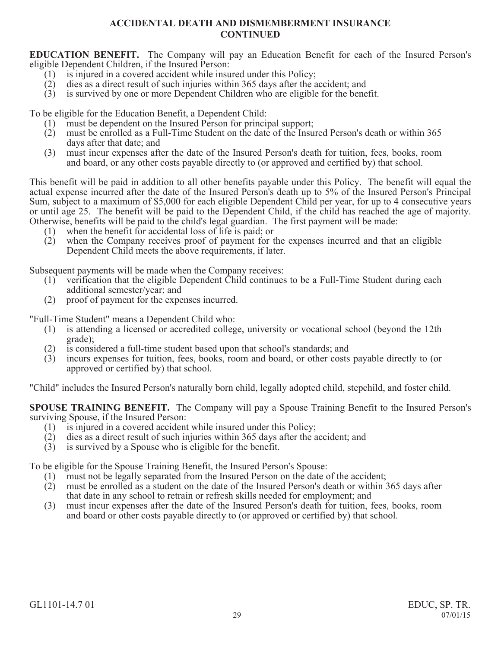**EDUCATION BENEFIT.** The Company will pay an Education Benefit for each of the Insured Person's eligible Dependent Children, if the Insured Person:<br>(1) is injured in a covered accident while insure

- is injured in a covered accident while insured under this Policy;
- (2) dies as a direct result of such injuries within 365 days after the accident; and
- (3) is survived by one or more Dependent Children who are eligible for the benefit.

To be eligible for the Education Benefit, a Dependent Child:

- (1) must be dependent on the Insured Person for principal support;<br>(2) must be enrolled as a Full-Time Student on the date of the Insu
- must be enrolled as a Full-Time Student on the date of the Insured Person's death or within 365 days after that date; and
- (3) must incur expenses after the date of the Insured Person's death for tuition, fees, books, room and board, or any other costs payable directly to (or approved and certified by) that school.

This benefit will be paid in addition to all other benefits payable under this Policy. The benefit will equal the actual expense incurred after the date of the Insured Person's death up to 5% of the Insured Person's Principal Sum, subject to a maximum of \$5,000 for each eligible Dependent Child per year, for up to 4 consecutive years or until age 25. The benefit will be paid to the Dependent Child, if the child has reached the age of majority. Otherwise, benefits will be paid to the child's legal guardian. The first payment will be made:

- 
- (1) when the benefit for accidental loss of life is paid; or  $(2)$  when the Company receives proof of payment for t when the Company receives proof of payment for the expenses incurred and that an eligible Dependent Child meets the above requirements, if later.

Subsequent payments will be made when the Company receives:

- (1) verification that the eligible Dependent Child continues to be a Full-Time Student during each additional semester/year; and
- (2) proof of payment for the expenses incurred.

"Full-Time Student" means a Dependent Child who:

- is attending a licensed or accredited college, university or vocational school (beyond the 12th grade);
- (2) is considered a full-time student based upon that school's standards; and (3) incurs expenses for tuition, fees, books, room and board, or other costs
- incurs expenses for tuition, fees, books, room and board, or other costs payable directly to (or approved or certified by) that school.

"Child" includes the Insured Person's naturally born child, legally adopted child, stepchild, and foster child.

**SPOUSE TRAINING BENEFIT.** The Company will pay a Spouse Training Benefit to the Insured Person's surviving Spouse, if the Insured Person:

- (1) is injured in a covered accident while insured under this Policy;<br>(2) dies as a direct result of such injuries within 365 days after the a
- (2) dies as a direct result of such injuries within 365 days after the accident; and
- (3) is survived by a Spouse who is eligible for the benefit.

To be eligible for the Spouse Training Benefit, the Insured Person's Spouse:

- (1) must not be legally separated from the Insured Person on the date of the accident;<br>(2) must be enrolled as a student on the date of the Insured Person's death or within
- must be enrolled as a student on the date of the Insured Person's death or within 365 days after that date in any school to retrain or refresh skills needed for employment; and
- (3) must incur expenses after the date of the Insured Person's death for tuition, fees, books, room and board or other costs payable directly to (or approved or certified by) that school.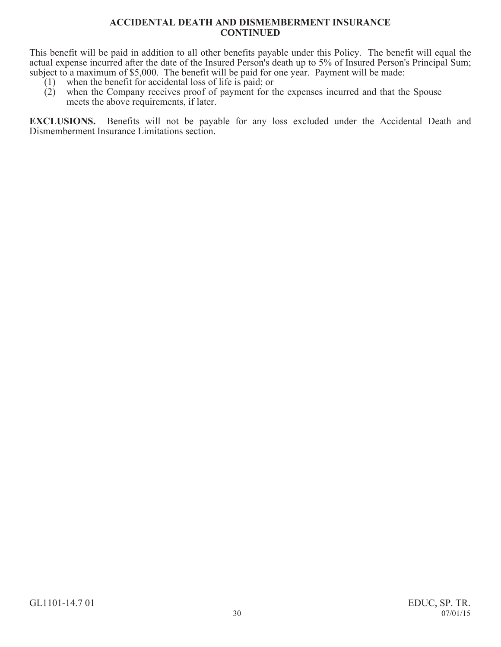This benefit will be paid in addition to all other benefits payable under this Policy. The benefit will equal the actual expense incurred after the date of the Insured Person's death up to 5% of Insured Person's Principal Sum; subject to a maximum of \$5,000. The benefit will be paid for one year. Payment will be made:

- (1) when the benefit for accidental loss of life is paid; or (2) when the Company receives proof of payment for the
- when the Company receives proof of payment for the expenses incurred and that the Spouse meets the above requirements, if later.

**EXCLUSIONS.** Benefits will not be payable for any loss excluded under the Accidental Death and Dismemberment Insurance Limitations section.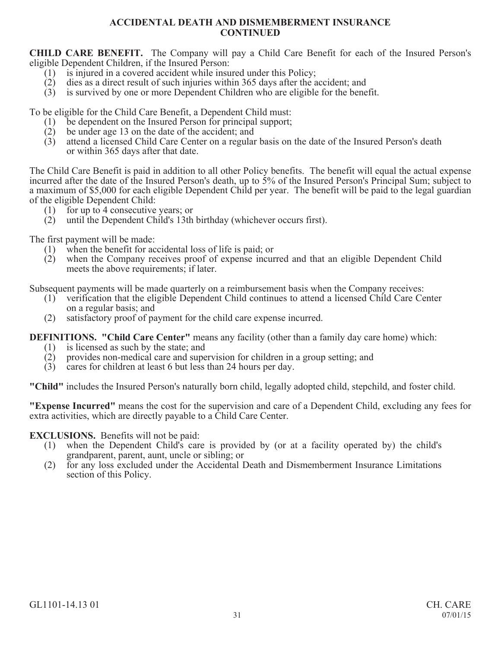**CHILD CARE BENEFIT.** The Company will pay a Child Care Benefit for each of the Insured Person's eligible Dependent Children, if the Insured Person:

- $(1)$  is injured in a covered accident while insured under this Policy;
- (2) dies as a direct result of such injuries within 365 days after the accident; and
- (3) is survived by one or more Dependent Children who are eligible for the benefit.

To be eligible for the Child Care Benefit, a Dependent Child must:

- (1) be dependent on the Insured Person for principal support;
- (2) be under age 13 on the date of the accident; and  $(3)$  attend a licensed Child Care Center on a regular
- (3) attend a licensed Child Care Center on a regular basis on the date of the Insured Person's death or within 365 days after that date.

The Child Care Benefit is paid in addition to all other Policy benefits. The benefit will equal the actual expense incurred after the date of the Insured Person's death, up to 5% of the Insured Person's Principal Sum; subject to a maximum of \$5,000 for each eligible Dependent Child per year. The benefit will be paid to the legal guardian of the eligible Dependent Child:

- (1) for up to 4 consecutive years; or
- (2) until the Dependent Child's 13th birthday (whichever occurs first).

The first payment will be made:

- (1) when the benefit for accidental loss of life is paid; or
- (2) when the Company receives proof of expense incurred and that an eligible Dependent Child meets the above requirements; if later.

Subsequent payments will be made quarterly on a reimbursement basis when the Company receives:

- (1) verification that the eligible Dependent Child continues to attend a licensed Child Care Center on a regular basis; and
- (2) satisfactory proof of payment for the child care expense incurred.

**DEFINITIONS. "Child Care Center"** means any facility (other than a family day care home) which:

- (1) is licensed as such by the state; and  $(2)$  provides non-medical care and super
- (2) provides non-medical care and supervision for children in a group setting; and
- (3) cares for children at least 6 but less than 24 hours per day.

**"Child"** includes the Insured Person's naturally born child, legally adopted child, stepchild, and foster child.

**"Expense Incurred"** means the cost for the supervision and care of a Dependent Child, excluding any fees for extra activities, which are directly payable to a Child Care Center.

# **EXCLUSIONS.** Benefits will not be paid:

- (1) when the Dependent Child's care is provided by (or at a facility operated by) the child's grandparent, parent, aunt, uncle or sibling; or
- (2) for any loss excluded under the Accidental Death and Dismemberment Insurance Limitations section of this Policy.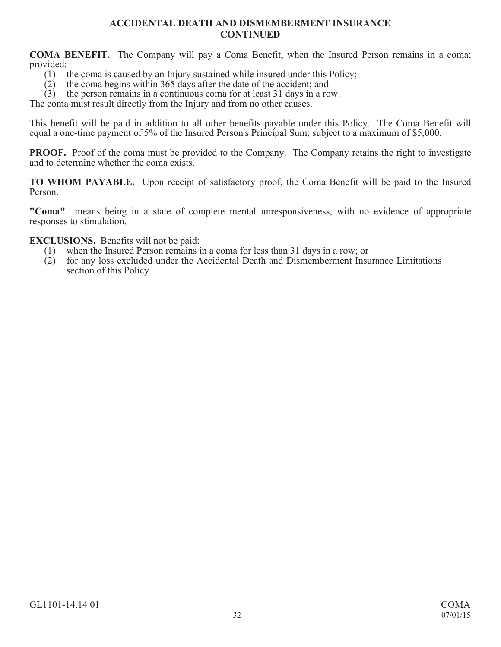**COMA BENEFIT.** The Company will pay a Coma Benefit, when the Insured Person remains in a coma; provided:<br> $(1)$  t

- (1) the coma is caused by an Injury sustained while insured under this Policy;<br>(2) the coma begins within 365 days after the date of the accident: and
- the coma begins within 365 days after the date of the accident; and

(3) the person remains in a continuous coma for at least 31 days in a row.

The coma must result directly from the Injury and from no other causes.

This benefit will be paid in addition to all other benefits payable under this Policy. The Coma Benefit will equal a one-time payment of 5% of the Insured Person's Principal Sum; subject to a maximum of \$5,000.

**PROOF.** Proof of the coma must be provided to the Company. The Company retains the right to investigate and to determine whether the coma exists.

**TO WHOM PAYABLE.** Upon receipt of satisfactory proof, the Coma Benefit will be paid to the Insured Person.

**"Coma"** means being in a state of complete mental unresponsiveness, with no evidence of appropriate responses to stimulation.

**EXCLUSIONS.** Benefits will not be paid:<br>(1) when the Insured Person remains i

- (1) when the Insured Person remains in a coma for less than 31 days in a row; or (2) for any loss excluded under the Accidental Death and Dismemberment Insu
- for any loss excluded under the Accidental Death and Dismemberment Insurance Limitations section of this Policy.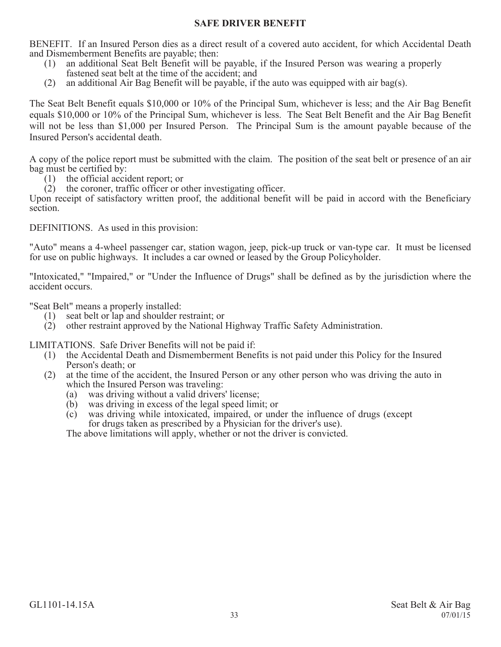# **SAFE DRIVER BENEFIT**

BENEFIT. If an Insured Person dies as a direct result of a covered auto accident, for which Accidental Death and Dismemberment Benefits are payable; then:

- (1) an additional Seat Belt Benefit will be payable, if the Insured Person was wearing a properly fastened seat belt at the time of the accident; and
- (2) an additional Air Bag Benefit will be payable, if the auto was equipped with air bag(s).

The Seat Belt Benefit equals \$10,000 or 10% of the Principal Sum, whichever is less; and the Air Bag Benefit equals \$10,000 or 10% of the Principal Sum, whichever is less. The Seat Belt Benefit and the Air Bag Benefit will not be less than \$1,000 per Insured Person. The Principal Sum is the amount payable because of the Insured Person's accidental death.

A copy of the police report must be submitted with the claim. The position of the seat belt or presence of an air bag must be certified by:

- (1) the official accident report; or
- (2) the coroner, traffic officer or other investigating officer.

Upon receipt of satisfactory written proof, the additional benefit will be paid in accord with the Beneficiary section.

DEFINITIONS. As used in this provision:

"Auto" means a 4-wheel passenger car, station wagon, jeep, pick-up truck or van-type car. It must be licensed for use on public highways. It includes a car owned or leased by the Group Policyholder.

"Intoxicated," "Impaired," or "Under the Influence of Drugs" shall be defined as by the jurisdiction where the accident occurs.

"Seat Belt" means a properly installed:

- (1) seat belt or lap and shoulder restraint; or
- (2) other restraint approved by the National Highway Traffic Safety Administration.

LIMITATIONS. Safe Driver Benefits will not be paid if:

- (1) the Accidental Death and Dismemberment Benefits is not paid under this Policy for the Insured Person's death; or
- (2) at the time of the accident, the Insured Person or any other person who was driving the auto in which the Insured Person was traveling:
	- (a) was driving without a valid drivers' license;
	- (b) was driving in excess of the legal speed limit; or
	- (c) was driving while intoxicated, impaired, or under the influence of drugs (except for drugs taken as prescribed by a Physician for the driver's use).

The above limitations will apply, whether or not the driver is convicted.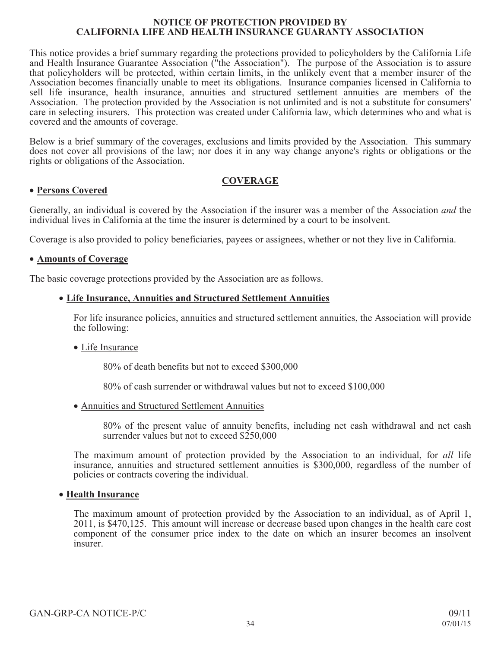#### **NOTICE OF PROTECTION PROVIDED BY CALIFORNIA LIFE AND HEALTH INSURANCE GUARANTY ASSOCIATION**

This notice provides a brief summary regarding the protections provided to policyholders by the California Life and Health Insurance Guarantee Association ("the Association"). The purpose of the Association is to assure that policyholders will be protected, within certain limits, in the unlikely event that a member insurer of the Association becomes financially unable to meet its obligations. Insurance companies licensed in California to sell life insurance, health insurance, annuities and structured settlement annuities are members of the Association. The protection provided by the Association is not unlimited and is not a substitute for consumers' care in selecting insurers. This protection was created under California law, which determines who and what is covered and the amounts of coverage.

Below is a brief summary of the coverages, exclusions and limits provided by the Association. This summary does not cover all provisions of the law; nor does it in any way change anyone's rights or obligations or the rights or obligations of the Association.

# **COVERAGE**

# **• Persons Covered**

Generally, an individual is covered by the Association if the insurer was a member of the Association *and* the individual lives in California at the time the insurer is determined by a court to be insolvent.

Coverage is also provided to policy beneficiaries, payees or assignees, whether or not they live in California.

# **• Amounts of Coverage**

The basic coverage protections provided by the Association are as follows.

# x **Life Insurance, Annuities and Structured Settlement Annuities**

For life insurance policies, annuities and structured settlement annuities, the Association will provide the following:

# • Life Insurance

80% of death benefits but not to exceed \$300,000

80% of cash surrender or withdrawal values but not to exceed \$100,000

• Annuities and Structured Settlement Annuities

80% of the present value of annuity benefits, including net cash withdrawal and net cash surrender values but not to exceed \$250,000

The maximum amount of protection provided by the Association to an individual, for *all* life insurance, annuities and structured settlement annuities is \$300,000, regardless of the number of policies or contracts covering the individual.

# **• Health Insurance**

The maximum amount of protection provided by the Association to an individual, as of April 1, 2011, is \$470,125. This amount will increase or decrease based upon changes in the health care cost component of the consumer price index to the date on which an insurer becomes an insolvent insurer.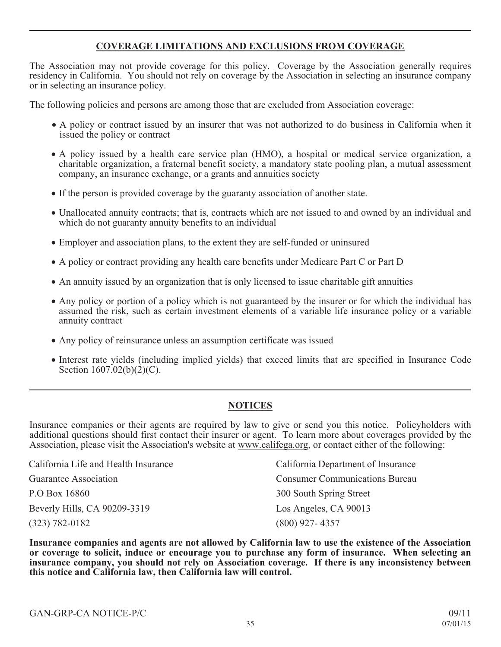# **COVERAGE LIMITATIONS AND EXCLUSIONS FROM COVERAGE**

The Association may not provide coverage for this policy. Coverage by the Association generally requires residency in California. You should not rely on coverage by the Association in selecting an insurance company or in selecting an insurance policy.

The following policies and persons are among those that are excluded from Association coverage:

- x A policy or contract issued by an insurer that was not authorized to do business in California when it issued the policy or contract
- A policy issued by a health care service plan (HMO), a hospital or medical service organization, a charitable organization, a fraternal benefit society, a mandatory state pooling plan, a mutual assessment company, an insurance exchange, or a grants and annuities society
- x If the person is provided coverage by the guaranty association of another state.
- Unallocated annuity contracts; that is, contracts which are not issued to and owned by an individual and which do not guaranty annuity benefits to an individual
- Employer and association plans, to the extent they are self-funded or uninsured
- A policy or contract providing any health care benefits under Medicare Part C or Part D
- An annuity issued by an organization that is only licensed to issue charitable gift annuities
- Any policy or portion of a policy which is not guaranteed by the insurer or for which the individual has assumed the risk, such as certain investment elements of a variable life insurance policy or a variable annuity contract
- Any policy of reinsurance unless an assumption certificate was issued
- Interest rate yields (including implied yields) that exceed limits that are specified in Insurance Code Section  $1607.02(b)(2)(C)$ .

# **NOTICES**

Insurance companies or their agents are required by law to give or send you this notice. Policyholders with additional questions should first contact their insurer or agent. To learn more about coverages provided by the Association, please visit the Association's website at www.califega.org, or contact either of the following:

| California Life and Health Insurance | California Department of Insurance    |
|--------------------------------------|---------------------------------------|
| Guarantee Association                | <b>Consumer Communications Bureau</b> |
| P.O Box 16860                        | 300 South Spring Street               |
| Beverly Hills, CA 90209-3319         | Los Angeles, CA 90013                 |
| $(323) 782 - 0182$                   | $(800)$ 927-4357                      |

**Insurance companies and agents are not allowed by California law to use the existence of the Association or coverage to solicit, induce or encourage you to purchase any form of insurance. When selecting an insurance company, you should not rely on Association coverage. If there is any inconsistency between this notice and California law, then California law will control.**